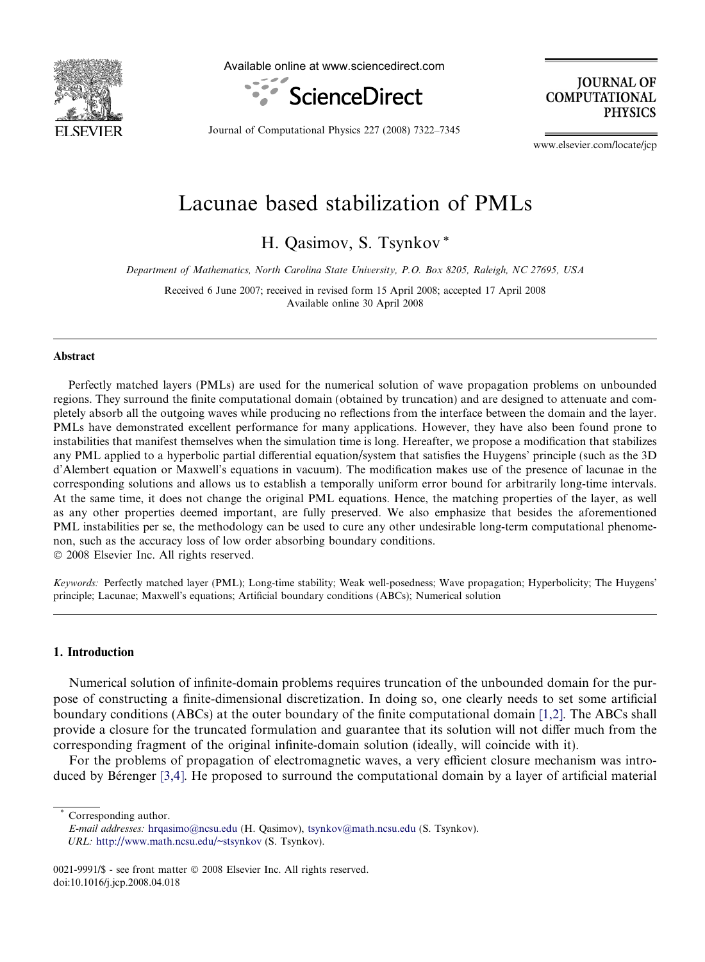<span id="page-0-0"></span>

Available online at www.sciencedirect.com



**JOURNAL OF COMPUTATIONAL PHYSICS** 

Journal of Computational Physics 227 (2008) 7322–7345

www.elsevier.com/locate/jcp

# Lacunae based stabilization of PMLs

H. Qasimov, S. Tsynkov \*

Department of Mathematics, North Carolina State University, P.O. Box 8205, Raleigh, NC 27695, USA

Received 6 June 2007; received in revised form 15 April 2008; accepted 17 April 2008 Available online 30 April 2008

#### Abstract

Perfectly matched layers (PMLs) are used for the numerical solution of wave propagation problems on unbounded regions. They surround the finite computational domain (obtained by truncation) and are designed to attenuate and completely absorb all the outgoing waves while producing no reflections from the interface between the domain and the layer. PMLs have demonstrated excellent performance for many applications. However, they have also been found prone to instabilities that manifest themselves when the simulation time is long. Hereafter, we propose a modification that stabilizes any PML applied to a hyperbolic partial differential equation/system that satisfies the Huygens' principle (such as the 3D d'Alembert equation or Maxwell's equations in vacuum). The modification makes use of the presence of lacunae in the corresponding solutions and allows us to establish a temporally uniform error bound for arbitrarily long-time intervals. At the same time, it does not change the original PML equations. Hence, the matching properties of the layer, as well as any other properties deemed important, are fully preserved. We also emphasize that besides the aforementioned PML instabilities per se, the methodology can be used to cure any other undesirable long-term computational phenomenon, such as the accuracy loss of low order absorbing boundary conditions.

© 2008 Elsevier Inc. All rights reserved.

Keywords: Perfectly matched layer (PML); Long-time stability; Weak well-posedness; Wave propagation; Hyperbolicity; The Huygens' principle; Lacunae; Maxwell's equations; Artificial boundary conditions (ABCs); Numerical solution

## 1. Introduction

Numerical solution of infinite-domain problems requires truncation of the unbounded domain for the purpose of constructing a finite-dimensional discretization. In doing so, one clearly needs to set some artificial boundary conditions (ABCs) at the outer boundary of the finite computational domain [\[1,2\].](#page-22-0) The ABCs shall provide a closure for the truncated formulation and guarantee that its solution will not differ much from the corresponding fragment of the original infinite-domain solution (ideally, will coincide with it).

For the problems of propagation of electromagnetic waves, a very efficient closure mechanism was intro-duced by Bérenger [\[3,4\]](#page-22-0). He proposed to surround the computational domain by a layer of artificial material

Corresponding author.

E-mail addresses: [hrqasimo@ncsu.edu](mailto:hrqasimo@ncsu.edu) (H. Qasimov), [tsynkov@math.ncsu.edu](mailto:tsynkov@math.ncsu.edu) (S. Tsynkov). URL: [http://www.math.ncsu.edu/~stsynkov](<xml_chg_old>http://www.math.ncsu.edu/stsynkov</xml_chg_old><xml_chg_new>http://www.math.ncsu.edu/~stsynkov</xml_chg_new>) (S. Tsynkov).

<sup>0021-9991/\$ -</sup> see front matter © 2008 Elsevier Inc. All rights reserved. doi:10.1016/j.jcp.2008.04.018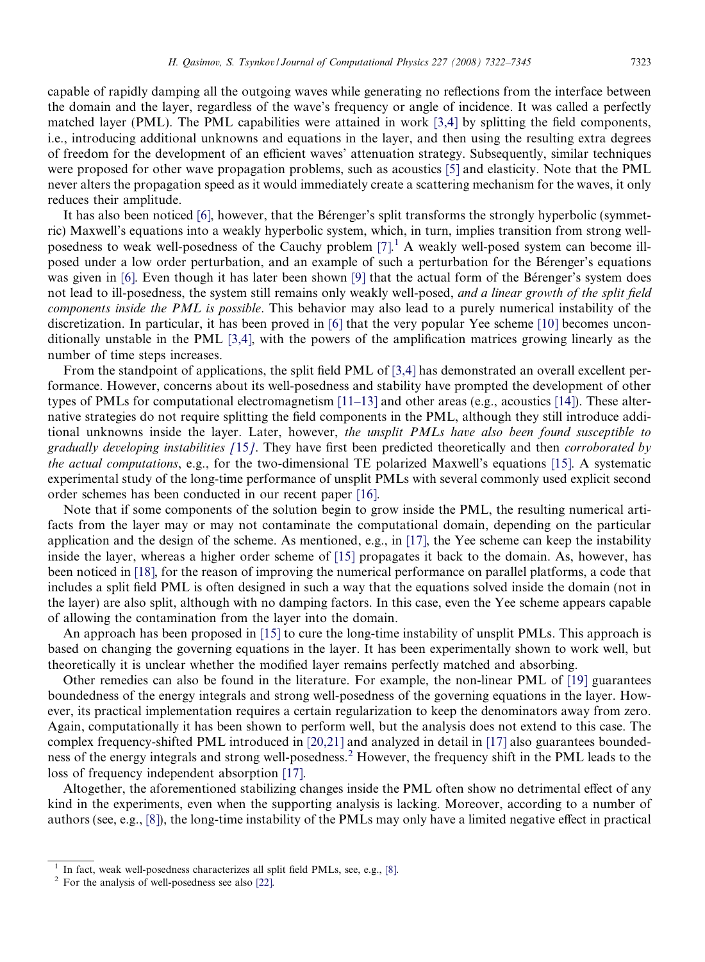capable of rapidly damping all the outgoing waves while generating no reflections from the interface between the domain and the layer, regardless of the wave's frequency or angle of incidence. It was called a perfectly matched layer (PML). The PML capabilities were attained in work [\[3,4\]](#page-22-0) by splitting the field components, i.e., introducing additional unknowns and equations in the layer, and then using the resulting extra degrees of freedom for the development of an efficient waves' attenuation strategy. Subsequently, similar techniques were proposed for other wave propagation problems, such as acoustics [\[5\]](#page-22-0) and elasticity. Note that the PML never alters the propagation speed as it would immediately create a scattering mechanism for the waves, it only reduces their amplitude.

It has also been noticed [\[6\],](#page-22-0) however, that the Bérenger's split transforms the strongly hyperbolic (symmetric) Maxwell's equations into a weakly hyperbolic system, which, in turn, implies transition from strong well-posedness to weak well-posedness of the Cauchy problem [\[7\].](#page-22-0)<sup>1</sup> A weakly well-posed system can become illposed under a low order perturbation, and an example of such a perturbation for the Be
renger's equations was given in [\[6\].](#page-22-0) Even though it has later been shown [\[9\]](#page-22-0) that the actual form of the Be´renger's system does not lead to ill-posedness, the system still remains only weakly well-posed, and a linear growth of the split field components inside the PML is possible. This behavior may also lead to a purely numerical instability of the discretization. In particular, it has been proved in [\[6\]](#page-22-0) that the very popular Yee scheme [\[10\]](#page-22-0) becomes unconditionally unstable in the PML [\[3,4\]](#page-22-0), with the powers of the amplification matrices growing linearly as the number of time steps increases.

From the standpoint of applications, the split field PML of [\[3,4\]](#page-22-0) has demonstrated an overall excellent performance. However, concerns about its well-posedness and stability have prompted the development of other types of PMLs for computational electromagnetism  $[11-13]$  and other areas (e.g., acoustics [\[14\]\)](#page-22-0). These alternative strategies do not require splitting the field components in the PML, although they still introduce additional unknowns inside the layer. Later, however, the unsplit PMLs have also been found susceptible to gradually developing instabilities [[15](#page-22-0)]. They have first been predicted theoretically and then corroborated by the actual computations, e.g., for the two-dimensional TE polarized Maxwell's equations [\[15\]](#page-22-0). A systematic experimental study of the long-time performance of unsplit PMLs with several commonly used explicit second order schemes has been conducted in our recent paper [\[16\].](#page-22-0)

Note that if some components of the solution begin to grow inside the PML, the resulting numerical artifacts from the layer may or may not contaminate the computational domain, depending on the particular application and the design of the scheme. As mentioned, e.g., in [\[17\]](#page-22-0), the Yee scheme can keep the instability inside the layer, whereas a higher order scheme of [\[15\]](#page-22-0) propagates it back to the domain. As, however, has been noticed in [\[18\]](#page-22-0), for the reason of improving the numerical performance on parallel platforms, a code that includes a split field PML is often designed in such a way that the equations solved inside the domain (not in the layer) are also split, although with no damping factors. In this case, even the Yee scheme appears capable of allowing the contamination from the layer into the domain.

An approach has been proposed in [\[15\]](#page-22-0) to cure the long-time instability of unsplit PMLs. This approach is based on changing the governing equations in the layer. It has been experimentally shown to work well, but theoretically it is unclear whether the modified layer remains perfectly matched and absorbing.

Other remedies can also be found in the literature. For example, the non-linear PML of [\[19\]](#page-22-0) guarantees boundedness of the energy integrals and strong well-posedness of the governing equations in the layer. However, its practical implementation requires a certain regularization to keep the denominators away from zero. Again, computationally it has been shown to perform well, but the analysis does not extend to this case. The complex frequency-shifted PML introduced in [\[20,21\]](#page-22-0) and analyzed in detail in [\[17\]](#page-22-0) also guarantees boundedness of the energy integrals and strong well-posedness.<sup>2</sup> However, the frequency shift in the PML leads to the loss of frequency independent absorption [\[17\].](#page-22-0)

Altogether, the aforementioned stabilizing changes inside the PML often show no detrimental effect of any kind in the experiments, even when the supporting analysis is lacking. Moreover, according to a number of authors (see, e.g., [\[8\]](#page-22-0)), the long-time instability of the PMLs may only have a limited negative effect in practical

<sup>&</sup>lt;sup>1</sup> In fact, weak well-posedness characterizes all split field PMLs, see, e.g., [\[8\]](#page-22-0).  $2^2$  For the analysis of well-posedness see also [\[22\]](#page-22-0).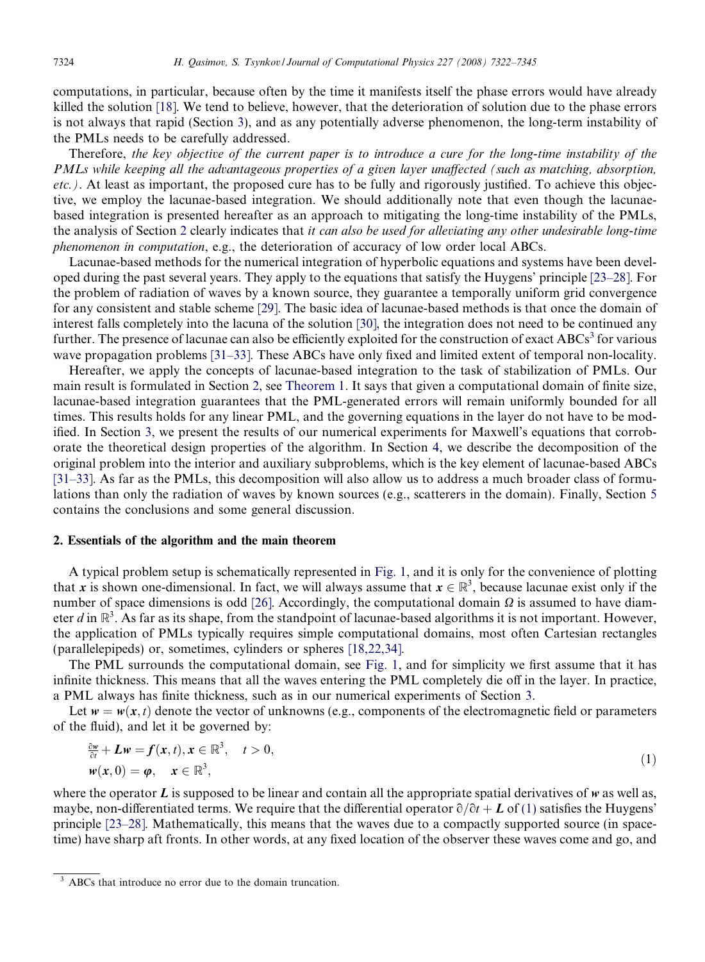<span id="page-2-0"></span>computations, in particular, because often by the time it manifests itself the phase errors would have already killed the solution [\[18\]](#page-22-0). We tend to believe, however, that the deterioration of solution due to the phase errors is not always that rapid (Section [3\)](#page-6-0), and as any potentially adverse phenomenon, the long-term instability of the PMLs needs to be carefully addressed.

Therefore, the key objective of the current paper is to introduce a cure for the long-time instability of the PMLs while keeping all the advantageous properties of a given layer unaffected (such as matching, absorption, etc.). At least as important, the proposed cure has to be fully and rigorously justified. To achieve this objective, we employ the lacunae-based integration. We should additionally note that even though the lacunaebased integration is presented hereafter as an approach to mitigating the long-time instability of the PMLs, the analysis of Section 2 clearly indicates that *it can also be used for alleviating any other undesirable long-time* phenomenon in computation, e.g., the deterioration of accuracy of low order local ABCs.

Lacunae-based methods for the numerical integration of hyperbolic equations and systems have been developed during the past several years. They apply to the equations that satisfy the Huygens' principle [\[23–28\]](#page-22-0). For the problem of radiation of waves by a known source, they guarantee a temporally uniform grid convergence for any consistent and stable scheme [\[29\]](#page-23-0). The basic idea of lacunae-based methods is that once the domain of interest falls completely into the lacuna of the solution [\[30\],](#page-23-0) the integration does not need to be continued any further. The presence of lacunae can also be efficiently exploited for the construction of exact  $ABCs<sup>3</sup>$  for various wave propagation problems [\[31–33\]](#page-23-0). These ABCs have only fixed and limited extent of temporal non-locality.

Hereafter, we apply the concepts of lacunae-based integration to the task of stabilization of PMLs. Our main result is formulated in Section 2, see [Theorem 1.](#page-6-0) It says that given a computational domain of finite size, lacunae-based integration guarantees that the PML-generated errors will remain uniformly bounded for all times. This results holds for any linear PML, and the governing equations in the layer do not have to be modified. In Section [3](#page-6-0), we present the results of our numerical experiments for Maxwell's equations that corroborate the theoretical design properties of the algorithm. In Section [4](#page-19-0), we describe the decomposition of the original problem into the interior and auxiliary subproblems, which is the key element of lacunae-based ABCs [\[31–33\].](#page-23-0) As far as the PMLs, this decomposition will also allow us to address a much broader class of formulations than only the radiation of waves by known sources (e.g., scatterers in the domain). Finally, Section [5](#page-21-0) contains the conclusions and some general discussion.

## 2. Essentials of the algorithm and the main theorem

A typical problem setup is schematically represented in [Fig. 1,](#page-3-0) and it is only for the convenience of plotting that x is shown one-dimensional. In fact, we will always assume that  $x \in \mathbb{R}^3$ , because lacunae exist only if the number of space dimensions is odd [\[26\].](#page-23-0) Accordingly, the computational domain  $\Omega$  is assumed to have diameter d in  $\mathbb{R}^3$ . As far as its shape, from the standpoint of lacunae-based algorithms it is not important. However, the application of PMLs typically requires simple computational domains, most often Cartesian rectangles (parallelepipeds) or, sometimes, cylinders or spheres [\[18,22,34\].](#page-22-0)

The PML surrounds the computational domain, see [Fig. 1,](#page-3-0) and for simplicity we first assume that it has infinite thickness. This means that all the waves entering the PML completely die off in the layer. In practice, a PML always has finite thickness, such as in our numerical experiments of Section [3.](#page-6-0)

Let  $w = w(x, t)$  denote the vector of unknowns (e.g., components of the electromagnetic field or parameters of the fluid), and let it be governed by:

$$
\frac{\partial w}{\partial t} + Lw = f(x, t), x \in \mathbb{R}^3, \quad t > 0,
$$
  

$$
w(x, 0) = \varphi, \quad x \in \mathbb{R}^3,
$$
 (1)

where the operator  $L$  is supposed to be linear and contain all the appropriate spatial derivatives of  $w$  as well as, maybe, non-differentiated terms. We require that the differential operator  $\partial/\partial t + L$  of (1) satisfies the Huygens' principle [\[23–28\].](#page-22-0) Mathematically, this means that the waves due to a compactly supported source (in spacetime) have sharp aft fronts. In other words, at any fixed location of the observer these waves come and go, and

<sup>&</sup>lt;sup>3</sup> ABCs that introduce no error due to the domain truncation.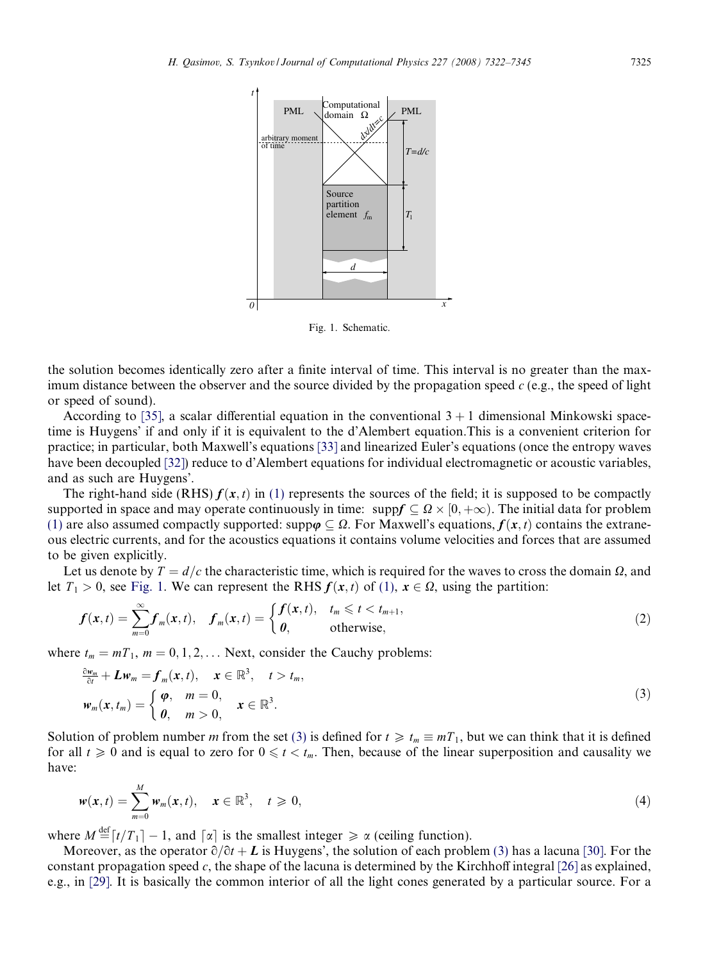<span id="page-3-0"></span>

Fig. 1. Schematic.

the solution becomes identically zero after a finite interval of time. This interval is no greater than the maximum distance between the observer and the source divided by the propagation speed  $c$  (e.g., the speed of light or speed of sound).

According to [\[35\]](#page-23-0), a scalar differential equation in the conventional  $3 + 1$  dimensional Minkowski spacetime is Huygens' if and only if it is equivalent to the d'Alembert equation.This is a convenient criterion for practice; in particular, both Maxwell's equations [\[33\]](#page-23-0) and linearized Euler's equations (once the entropy waves have been decoupled [\[32\]](#page-23-0)) reduce to d'Alembert equations for individual electromagnetic or acoustic variables, and as such are Huygens'.

The right-hand side (RHS)  $f(x, t)$  in [\(1\)](#page-2-0) represents the sources of the field; it is supposed to be compactly supported in space and may operate continuously in time:  $\text{supp}f \subseteq \Omega \times [0, +\infty)$ . The initial data for problem [\(1\)](#page-2-0) are also assumed compactly supported: supp $\varphi \subseteq \Omega$ . For Maxwell's equations,  $f(x, t)$  contains the extraneous electric currents, and for the acoustics equations it contains volume velocities and forces that are assumed to be given explicitly.

Let us denote by  $T = d/c$  the characteristic time, which is required for the waves to cross the domain  $\Omega$ , and let  $T_1 > 0$ , see Fig. 1. We can represent the RHS  $f(x, t)$  of [\(1\),](#page-2-0)  $x \in \Omega$ , using the partition:

$$
f(\mathbf{x},t) = \sum_{m=0}^{\infty} f_m(\mathbf{x},t), \quad f_m(\mathbf{x},t) = \begin{cases} f(\mathbf{x},t), & t_m \leq t < t_{m+1}, \\ 0, & \text{otherwise}, \end{cases}
$$
(2)

where  $t_m = mT_1$ ,  $m = 0, 1, 2, \ldots$  Next, consider the Cauchy problems:

$$
\frac{\partial w_m}{\partial t} + L w_m = f_m(x, t), \quad x \in \mathbb{R}^3, \quad t > t_m,
$$
  

$$
w_m(x, t_m) = \begin{cases} \varphi, & m = 0, \\ \theta, & m > 0, \end{cases} \quad x \in \mathbb{R}^3.
$$
 (3)

Solution of problem number m from the set (3) is defined for  $t \geq t_m \equiv mT_1$ , but we can think that it is defined for all  $t \ge 0$  and is equal to zero for  $0 \le t < t_m$ . Then, because of the linear superposition and causality we have:

$$
w(x,t) = \sum_{m=0}^{M} w_m(x,t), \quad x \in \mathbb{R}^3, \quad t \geq 0,
$$
\n
$$
(4)
$$

where  $M \stackrel{\text{def}}{=} [t/T_1] - 1$ , and  $\lceil \alpha \rceil$  is the smallest integer  $\ge \alpha$  (ceiling function).

Moreover, as the operator  $\partial/\partial t + L$  is Huygens', the solution of each problem (3) has a lacuna [\[30\]](#page-23-0). For the constant propagation speed c, the shape of the lacuna is determined by the Kirchhoff integral  $[26]$  as explained, e.g., in [\[29\]](#page-23-0). It is basically the common interior of all the light cones generated by a particular source. For a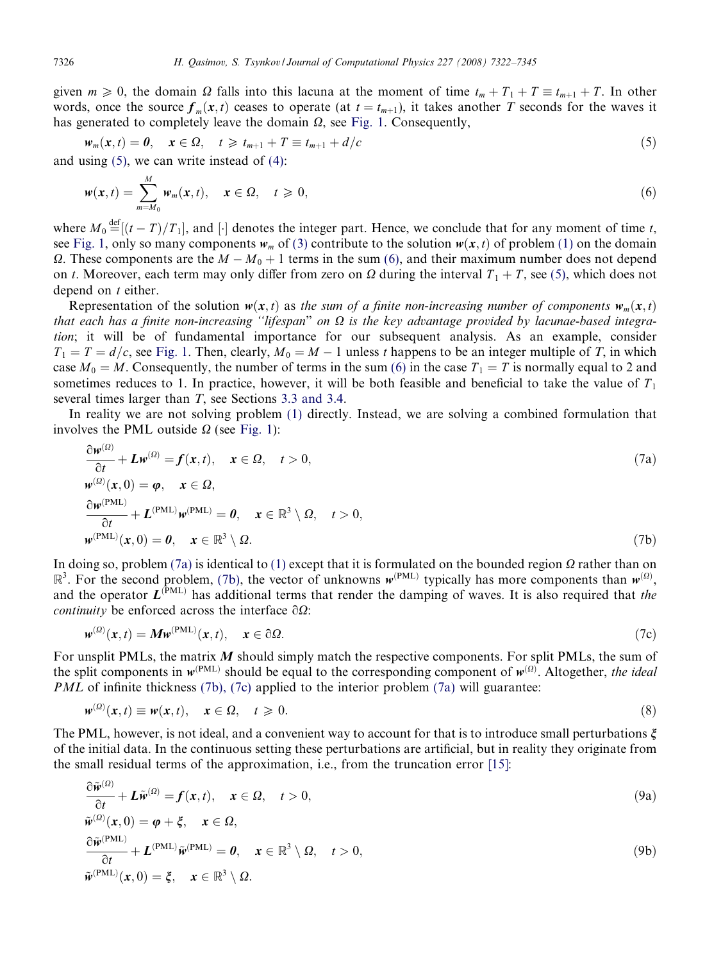<span id="page-4-0"></span>given  $m \ge 0$ , the domain  $\Omega$  falls into this lacuna at the moment of time  $t_m + T_1 + T \equiv t_{m+1} + T$ . In other words, once the source  $f_m(x,t)$  ceases to operate (at  $t = t_{m+1}$ ), it takes another T seconds for the waves it has generated to completely leave the domain  $\Omega$ , see [Fig. 1.](#page-3-0) Consequently,

$$
w_m(x,t) = 0, \quad x \in \Omega, \quad t \geq t_{m+1} + T \equiv t_{m+1} + d/c \tag{5}
$$

and using  $(5)$ , we can write instead of  $(4)$ :

$$
w(x,t) = \sum_{m=M_0}^{M} w_m(x,t), \quad x \in \Omega, \quad t \geqslant 0,
$$
\n(6)

where  $M_0 \stackrel{\text{def}}{=} [(t-T)/T_1]$ , and  $[\cdot]$  denotes the integer part. Hence, we conclude that for any moment of time t, see [Fig. 1](#page-3-0), only so many components  $w_m$  of [\(3\)](#page-3-0) contribute to the solution  $w(x, t)$  of problem [\(1\)](#page-2-0) on the domain  $\Omega$ . These components are the  $M - M_0 + 1$  terms in the sum (6), and their maximum number does not depend on t. Moreover, each term may only differ from zero on  $\Omega$  during the interval  $T_1 + T$ , see (5), which does not depend on  $t$  either.

Representation of the solution  $w(x, t)$  as the sum of a finite non-increasing number of components  $w_m(x, t)$ that each has a finite non-increasing "lifespan" on  $\Omega$  is the key advantage provided by lacunae-based integration; it will be of fundamental importance for our subsequent analysis. As an example, consider  $T_1 = T = d/c$ , see [Fig. 1](#page-3-0). Then, clearly,  $M_0 = M - 1$  unless t happens to be an integer multiple of T, in which case  $M_0 = M$ . Consequently, the number of terms in the sum (6) in the case  $T_1 = T$  is normally equal to 2 and sometimes reduces to 1. In practice, however, it will be both feasible and beneficial to take the value of  $T_1$ several times larger than T, see Sections [3.3 and 3.4](#page-13-0).

In reality we are not solving problem [\(1\)](#page-2-0) directly. Instead, we are solving a combined formulation that involves the PML outside  $\Omega$  (see [Fig. 1\)](#page-3-0):

$$
\frac{\partial w^{(2)}}{\partial t} + L w^{(2)} = f(x, t), \quad x \in \Omega, \quad t > 0,
$$
  
\n
$$
w^{(2)}(x, 0) = \varphi, \quad x \in \Omega,
$$
  
\n
$$
\frac{\partial w^{(PML)}}{\partial t} + L^{(PML)} w^{(PML)} = 0, \quad x \in \mathbb{R}^3 \setminus \Omega, \quad t > 0,
$$
  
\n
$$
w^{(PML)}(x, 0) = 0, \quad x \in \mathbb{R}^3 \setminus \Omega.
$$
\n(7b)

In doing so, problem (7a) is identical to [\(1\)](#page-2-0) except that it is formulated on the bounded region  $\Omega$  rather than on  $\mathbb{R}^3$ . For the second problem, (7b), the vector of unknowns  $w^{(PML)}$  typically has more components than  $w^{(0)}$ , and the operator  $L^{(PML)}$  has additional terms that render the damping of waves. It is also required that the *continuity* be enforced across the interface  $\partial\Omega$ :

$$
w^{(\Omega)}(x,t) = M w^{(\text{PML})}(x,t), \quad x \in \partial \Omega.
$$
\n(7c)

For unsplit PMLs, the matrix M should simply match the respective components. For split PMLs, the sum of the split components in  $w^{(PML)}$  should be equal to the corresponding component of  $w^{(Q)}$ . Altogether, the ideal *PML* of infinite thickness (7b), (7c) applied to the interior problem (7a) will guarantee:

$$
w^{(\Omega)}(x,t) \equiv w(x,t), \quad x \in \Omega, \quad t \geq 0. \tag{8}
$$

The PML, however, is not ideal, and a convenient way to account for that is to introduce small perturbations  $\xi$ of the initial data. In the continuous setting these perturbations are artificial, but in reality they originate from the small residual terms of the approximation, i.e., from the truncation error [\[15\]:](#page-22-0)

$$
\frac{\partial \tilde{\mathbf{w}}^{(2)}}{\partial t} + \mathbf{L} \tilde{\mathbf{w}}^{(2)} = \mathbf{f}(\mathbf{x}, t), \quad \mathbf{x} \in \Omega, \quad t > 0,
$$
\n(9a)

$$
\tilde{\mathbf{w}}^{(\Omega)}(\mathbf{x},0) = \boldsymbol{\varphi} + \boldsymbol{\xi}, \quad \mathbf{x} \in \Omega, \n\frac{\partial \tilde{\mathbf{w}}^{(\text{PML})}}{\partial t} + \boldsymbol{L}^{(\text{PML})} \tilde{\mathbf{w}}^{(\text{PML})} = \boldsymbol{0}, \quad \mathbf{x} \in \mathbb{R}^3 \setminus \Omega, \quad t > 0, \n\tilde{\mathbf{w}}^{(\text{PML})}(\mathbf{x},0) = \boldsymbol{\xi}, \quad \mathbf{x} \in \mathbb{R}^3 \setminus \Omega.
$$
\n(9b)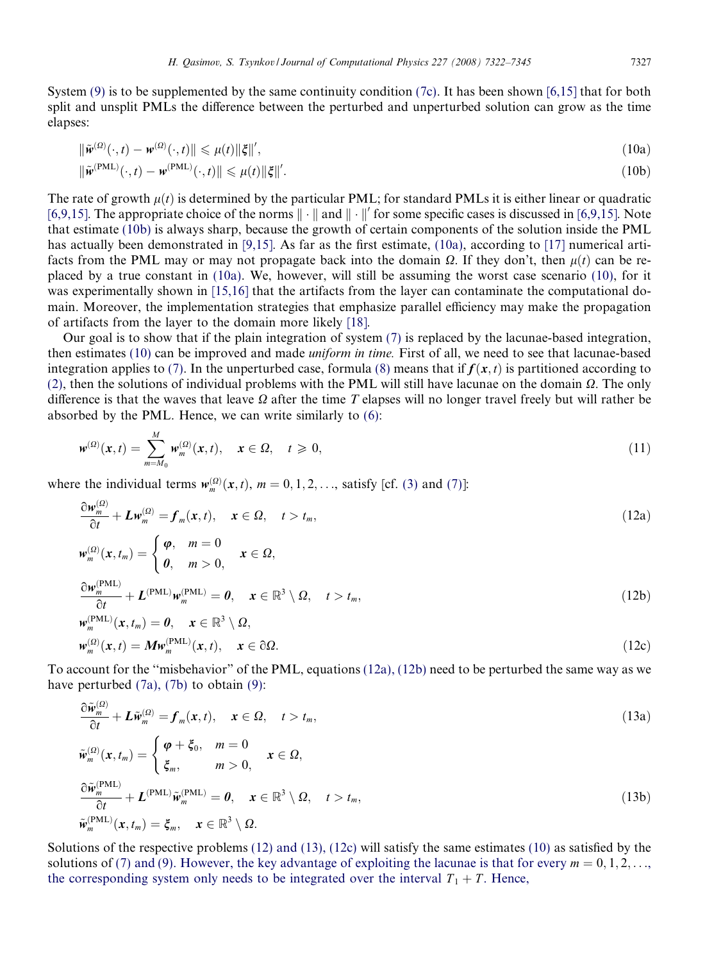<span id="page-5-0"></span>System [\(9\)](#page-4-0) is to be supplemented by the same continuity condition [\(7c\)](#page-4-0). It has been shown [\[6,15\]](#page-22-0) that for both split and unsplit PMLs the difference between the perturbed and unperturbed solution can grow as the time elapses:

$$
\|\tilde{\mathbf{w}}^{(2)}(\cdot,t) - \mathbf{w}^{(2)}(\cdot,t)\| \leq \mu(t) \|\xi\|',\tag{10a}
$$

$$
\|\tilde{\mathbf{w}}^{(\text{PML})}(\cdot, t) - \mathbf{w}^{(\text{PML})}(\cdot, t)\| \leq \mu(t) \|\xi\|'.\tag{10b}
$$

The rate of growth  $\mu(t)$  is determined by the particular PML; for standard PMLs it is either linear or quadratic [\[6,9,15\].](#page-22-0) The appropriate choice of the norms  $\|\cdot\|$  and  $\|\cdot\|'$  for some specific cases is discussed in [6,9,15]. Note that estimate (10b) is always sharp, because the growth of certain components of the solution inside the PML has actually been demonstrated in [\[9,15\]](#page-22-0). As far as the first estimate, (10a), according to [\[17\]](#page-22-0) numerical artifacts from the PML may or may not propagate back into the domain  $\Omega$ . If they don't, then  $\mu(t)$  can be replaced by a true constant in (10a). We, however, will still be assuming the worst case scenario (10), for it was experimentally shown in [\[15,16\]](#page-22-0) that the artifacts from the layer can contaminate the computational domain. Moreover, the implementation strategies that emphasize parallel efficiency may make the propagation of artifacts from the layer to the domain more likely [\[18\]](#page-22-0).

Our goal is to show that if the plain integration of system [\(7\)](#page-4-0) is replaced by the lacunae-based integration, then estimates (10) can be improved and made uniform in time. First of all, we need to see that lacunae-based integration applies to [\(7\).](#page-4-0) In the unperturbed case, formula [\(8\)](#page-4-0) means that if  $f(x, t)$  is partitioned according to [\(2\)](#page-3-0), then the solutions of individual problems with the PML will still have lacunae on the domain  $\Omega$ . The only difference is that the waves that leave  $\Omega$  after the time T elapses will no longer travel freely but will rather be absorbed by the PML. Hence, we can write similarly to [\(6\):](#page-4-0)

$$
\mathbf{w}^{(\Omega)}(\mathbf{x},t) = \sum_{m=M_0}^{M} \mathbf{w}_m^{(\Omega)}(\mathbf{x},t), \quad \mathbf{x} \in \Omega, \quad t \geq 0,
$$
\n(11)

where the individual terms  $w_m^{(0)}(x, t)$ ,  $m = 0, 1, 2, \ldots$ , satisfy [cf. [\(3\)](#page-3-0) and [\(7\)](#page-4-0)]:

$$
\frac{\partial \mathbf{w}_{m}^{(\Omega)}}{\partial t} + L \mathbf{w}_{m}^{(\Omega)} = \mathbf{f}_{m}(\mathbf{x}, t), \quad \mathbf{x} \in \Omega, \quad t > t_{m},
$$
\n
$$
\mathbf{w}_{m}^{(\Omega)}(\mathbf{x}, t_{m}) = \begin{cases} \boldsymbol{\varphi}, & m = 0 \\ \boldsymbol{\theta}, & m > 0, \end{cases} \quad \mathbf{x} \in \Omega,
$$
\n
$$
\frac{\partial \mathbf{w}_{m}^{(\text{PML})}}{\partial t} + L^{(\text{PML})} \mathbf{w}_{m}^{(\text{PML})} = \boldsymbol{\theta}, \quad \mathbf{x} \in \mathbb{R}^{3} \setminus \Omega, \quad t > t_{m},
$$
\n
$$
\frac{\partial \mathbf{w}_{m}^{(\text{PML})}}{\partial t} + L^{(\text{PML})} \mathbf{w}_{m}^{(\text{PML})} = \boldsymbol{\theta}, \quad \mathbf{x} \in \mathbb{R}^{3} \setminus \Omega, \quad t > t_{m},
$$
\n
$$
\tag{12b}
$$

$$
\begin{aligned} \mathbf{w}_m^{(\text{PML})}(\mathbf{x}, t_m) &= \mathbf{0}, \quad \mathbf{x} \in \mathbb{R}^3 \setminus \Omega, \\ \mathbf{w}_m^{(\Omega)}(\mathbf{x}, t) &= \mathbf{M} \mathbf{w}_m^{(\text{PML})}(\mathbf{x}, t), \quad \mathbf{x} \in \partial \Omega. \end{aligned} \tag{12c}
$$

To account for the ''misbehavior" of the PML, equations (12a), (12b) need to be perturbed the same way as we have perturbed  $(7a)$ ,  $(7b)$  to obtain  $(9)$ :

$$
\frac{\partial \widetilde{w}_{m}^{(\Omega)}}{\partial t} + L \widetilde{w}_{m}^{(\Omega)} = f_{m}(x, t), \quad x \in \Omega, \quad t > t_{m},
$$
\n
$$
\widetilde{w}_{m}^{(\Omega)}(x, t_{m}) = \begin{cases}\n\varphi + \xi_{0}, & m = 0 \\
\xi_{m}, & m > 0,\n\end{cases} \quad x \in \Omega,
$$
\n
$$
\frac{\partial \widetilde{w}_{m}^{(\text{PML})}}{\partial t} + L^{(\text{PML})} \widetilde{w}_{m}^{(\text{PML})} = 0, \quad x \in \mathbb{R}^{3} \setminus \Omega, \quad t > t_{m},
$$
\n
$$
\widetilde{w}_{m}^{(\text{PML})}(x, t_{m}) = \xi_{m}, \quad x \in \mathbb{R}^{3} \setminus \Omega.
$$
\n(13b)

Solutions of the respective problems (12) and (13), (12c) will satisfy the same estimates (10) as satisfied by the solutions of [\(7\) and \(9\). However, the key advantage of exploiting the lacunae is that for every](#page-4-0)  $m = 0, 1, 2, \ldots$  $m = 0, 1, 2, \ldots$  $m = 0, 1, 2, \ldots$ , [the corresponding system only needs to be integrated over the interval](#page-4-0)  $T_1 + T$ [. Hence,](#page-4-0)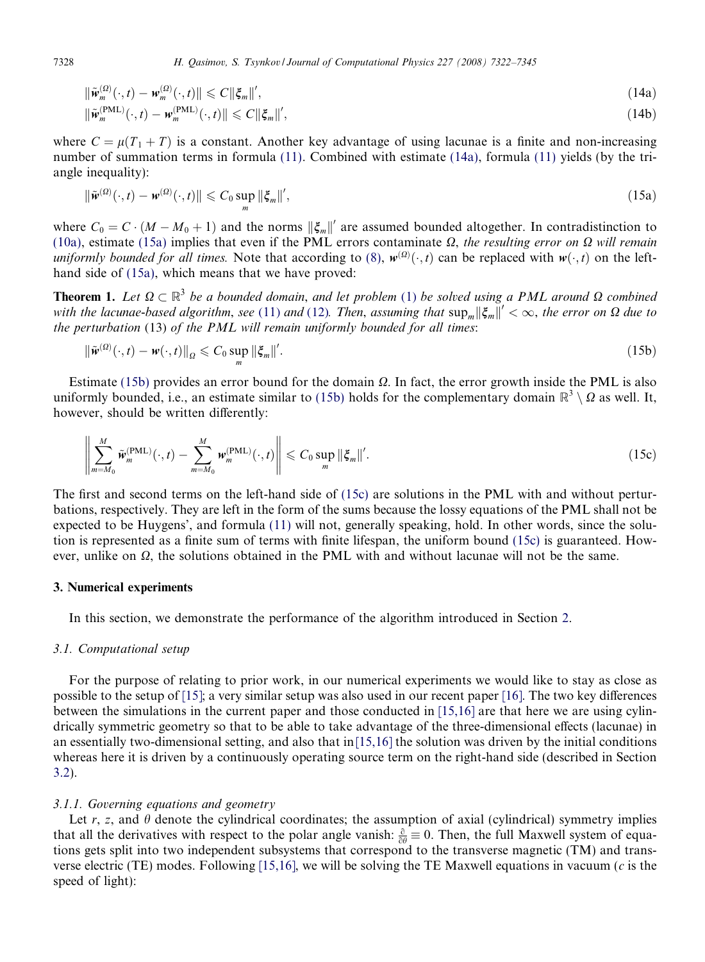$$
\|\tilde{w}_m^{(\Omega)}(\cdot,t) - w_m^{(\Omega)}(\cdot,t)\| \leq C \|\xi_m\|',\tag{14a}
$$

$$
\|\tilde{\mathbf{w}}_m^{\text{(PML)}}(\cdot,t) - \mathbf{w}_m^{\text{(PML)}}(\cdot,t)\| \leqslant C \|\xi_m\|',\tag{14b}
$$

where  $C = \mu(T_1 + T)$  is a constant. Another key advantage of using lacunae is a finite and non-increasing number of summation terms in formula [\(11\)](#page-5-0). Combined with estimate (14a), formula [\(11\)](#page-5-0) yields (by the triangle inequality):

$$
\|\tilde{\mathbf{w}}^{(\Omega)}(\cdot,t) - \mathbf{w}^{(\Omega)}(\cdot,t)\| \leqslant C_0 \sup_m \|\xi_m\|',\tag{15a}
$$

where  $C_0 = C \cdot (M - M_0 + 1)$  and the norms  $\|\xi_m\|'$  are assumed bounded altogether. In contradistinction to [\(10a\),](#page-5-0) estimate (15a) implies that even if the PML errors contaminate  $\Omega$ , the resulting error on  $\Omega$  will remain uniformly bounded for all times. Note that according to [\(8\),](#page-4-0)  $w^{(\Omega)}(\cdot, t)$  can be replaced with  $w(\cdot, t)$  on the lefthand side of (15a), which means that we have proved:

**Theorem [1](#page-2-0).** Let  $\Omega \subset \mathbb{R}^3$  be a bounded domain, and let problem (1) be solved using a PML around  $\Omega$  combined with the lacunae-based algorithm, see ([11](#page-5-0)) and [\(12\).](#page-5-0) Then, assuming that  $\sup_{m} ||\xi_{m}||' < \infty$ , the error on  $\Omega$  due to the perturbation (13) of the PML will remain uniformly bounded for all times:

$$
\|\tilde{\mathbf{w}}^{(\Omega)}(\cdot,t)-\mathbf{w}(\cdot,t)\|_{\Omega} \leqslant C_0 \sup_{m} \|\xi_m\|'.
$$
 (15b)

Estimate (15b) provides an error bound for the domain  $\Omega$ . In fact, the error growth inside the PML is also uniformly bounded, i.e., an estimate similar to (15b) holds for the complementary domain  $\mathbb{R}^3 \setminus \Omega$  as well. It, however, should be written differently:

$$
\left\|\sum_{m=M_0}^M \widetilde{\mathbf{w}}_m^{\text{(PML)}}(\cdot,t)-\sum_{m=M_0}^M \mathbf{w}_m^{\text{(PML)}}(\cdot,t)\right\|\leqslant C_0 \sup_m \|\xi_m\|'.
$$
\n(15c)

The first and second terms on the left-hand side of (15c) are solutions in the PML with and without perturbations, respectively. They are left in the form of the sums because the lossy equations of the PML shall not be expected to be Huygens', and formula [\(11\)](#page-5-0) will not, generally speaking, hold. In other words, since the solution is represented as a finite sum of terms with finite lifespan, the uniform bound (15c) is guaranteed. However, unlike on  $\Omega$ , the solutions obtained in the PML with and without lacunae will not be the same.

# 3. Numerical experiments

In this section, we demonstrate the performance of the algorithm introduced in Section [2](#page-2-0).

# 3.1. Computational setup

For the purpose of relating to prior work, in our numerical experiments we would like to stay as close as possible to the setup of [\[15\]](#page-22-0); a very similar setup was also used in our recent paper [\[16\]](#page-22-0). The two key differences between the simulations in the current paper and those conducted in [\[15,16\]](#page-22-0) are that here we are using cylindrically symmetric geometry so that to be able to take advantage of the three-dimensional effects (lacunae) in an essentially two-dimensional setting, and also that in $[15,16]$  the solution was driven by the initial conditions whereas here it is driven by a continuously operating source term on the right-hand side (described in Section [3.2\)](#page-11-0).

## 3.1.1. Governing equations and geometry

Let r, z, and  $\theta$  denote the cylindrical coordinates; the assumption of axial (cylindrical) symmetry implies that all the derivatives with respect to the polar angle vanish:  $\frac{\partial}{\partial \theta} \equiv 0$ . Then, the full Maxwell system of equations gets split into two independent subsystems that correspond to the transverse magnetic (TM) and trans-verse electric (TE) modes. Following [\[15,16\]](#page-22-0), we will be solving the TE Maxwell equations in vacuum (c is the speed of light):

<span id="page-6-0"></span>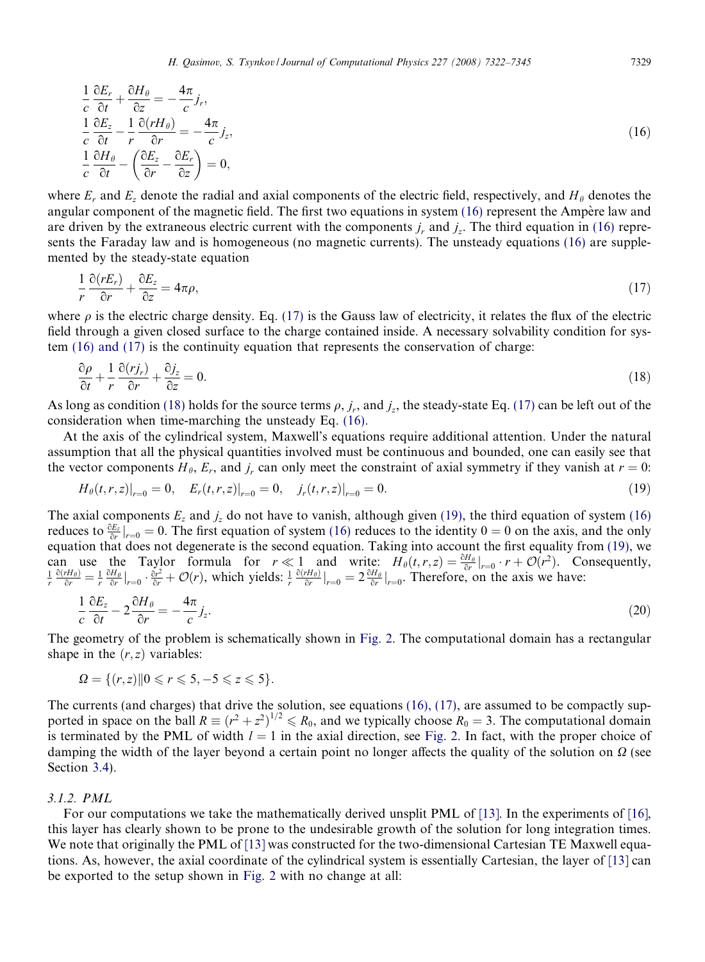<span id="page-7-0"></span>
$$
\frac{1}{c}\frac{\partial E_r}{\partial t} + \frac{\partial H_\theta}{\partial z} = -\frac{4\pi}{c}j_r,\n\frac{1}{c}\frac{\partial E_z}{\partial t} - \frac{1}{r}\frac{\partial (rH_\theta)}{\partial r} = -\frac{4\pi}{c}j_z,\n\frac{1}{c}\frac{\partial H_\theta}{\partial t} - \left(\frac{\partial E_z}{\partial r} - \frac{\partial E_r}{\partial z}\right) = 0,
$$
\n(16)

where  $E_r$  and  $E_z$  denote the radial and axial components of the electric field, respectively, and  $H_\theta$  denotes the angular component of the magnetic field. The first two equations in system  $(16)$  represent the Ampère law and are driven by the extraneous electric current with the components  $j<sub>r</sub>$  and  $j<sub>r</sub>$ . The third equation in (16) represents the Faraday law and is homogeneous (no magnetic currents). The unsteady equations (16) are supplemented by the steady-state equation

$$
\frac{1}{r}\frac{\partial(rE_r)}{\partial r} + \frac{\partial E_z}{\partial z} = 4\pi\rho, \tag{17}
$$

where  $\rho$  is the electric charge density. Eq. (17) is the Gauss law of electricity, it relates the flux of the electric field through a given closed surface to the charge contained inside. A necessary solvability condition for system (16) and (17) is the continuity equation that represents the conservation of charge:

$$
\frac{\partial \rho}{\partial t} + \frac{1}{r} \frac{\partial (r j_r)}{\partial r} + \frac{\partial j_z}{\partial z} = 0.
$$
\n(18)

As long as condition (18) holds for the source terms  $\rho$ ,  $j_r$ , and  $j_z$ , the steady-state Eq. (17) can be left out of the consideration when time-marching the unsteady Eq. (16).

At the axis of the cylindrical system, Maxwell's equations require additional attention. Under the natural assumption that all the physical quantities involved must be continuous and bounded, one can easily see that the vector components  $H_\theta$ ,  $E_r$ , and  $j_r$  can only meet the constraint of axial symmetry if they vanish at  $r = 0$ :

$$
H_{\theta}(t,r,z)|_{r=0} = 0, \quad E_r(t,r,z)|_{r=0} = 0, \quad j_r(t,r,z)|_{r=0} = 0. \tag{19}
$$

The axial components  $E_z$  and  $j_z$  do not have to vanish, although given (19), the third equation of system (16) reduces to  $\frac{\partial E_z}{\partial r}|_{r=0} = 0$ . The first equation of system (16) reduces to the identity  $0 = 0$  on the axis, and the only equation that does not degenerate is the second equation. Taking into account the first equality from (19), we can use the Taylor formula for  $r \ll 1$  and write:  $H_{\theta}(t, r, z) = \frac{\partial H_{\theta}}{\partial r}|_{r=0} \cdot r + \mathcal{O}(r^2)$ . Consequently,  $\frac{1}{r} \frac{\partial (rH_{\theta})}{\partial r}|_{r=0} = \frac{1}{r} \frac{\partial H_{\theta}}{\partial r}|_{r=0}$ .  $\frac{\partial (rH_{\theta})}{\partial r}|_{r=0} = 2 \frac{\partial H_{\theta}}{\partial r}|_{r=0}$ . There

$$
\frac{1}{c}\frac{\partial E_z}{\partial t} - 2\frac{\partial H_\theta}{\partial r} = -\frac{4\pi}{c}j_z.
$$
\n(20)

The geometry of the problem is schematically shown in [Fig. 2.](#page-8-0) The computational domain has a rectangular shape in the  $(r, z)$  variables:

$$
\Omega = \{ (r, z) \mid 0 \leq r \leq 5, -5 \leq z \leq 5 \}.
$$

The currents (and charges) that drive the solution, see equations (16), (17), are assumed to be compactly supported in space on the ball  $R \equiv (r^2 + z^2)^{1/2} \le R_0$ , and we typically choose  $R_0 = 3$ . The computational domain is terminated by the PML of width  $l = 1$  in the axial direction, see [Fig. 2](#page-8-0). In fact, with the proper choice of damping the width of the layer beyond a certain point no longer affects the quality of the solution on  $\Omega$  (see Section [3.4](#page-14-0)).

## 3.1.2. PML

For our computations we take the mathematically derived unsplit PML of [\[13\]](#page-22-0). In the experiments of [\[16\]](#page-22-0), this layer has clearly shown to be prone to the undesirable growth of the solution for long integration times. We note that originally the PML of [\[13\]](#page-22-0) was constructed for the two-dimensional Cartesian TE Maxwell equations. As, however, the axial coordinate of the cylindrical system is essentially Cartesian, the layer of [\[13\]](#page-22-0) can be exported to the setup shown in [Fig. 2](#page-8-0) with no change at all: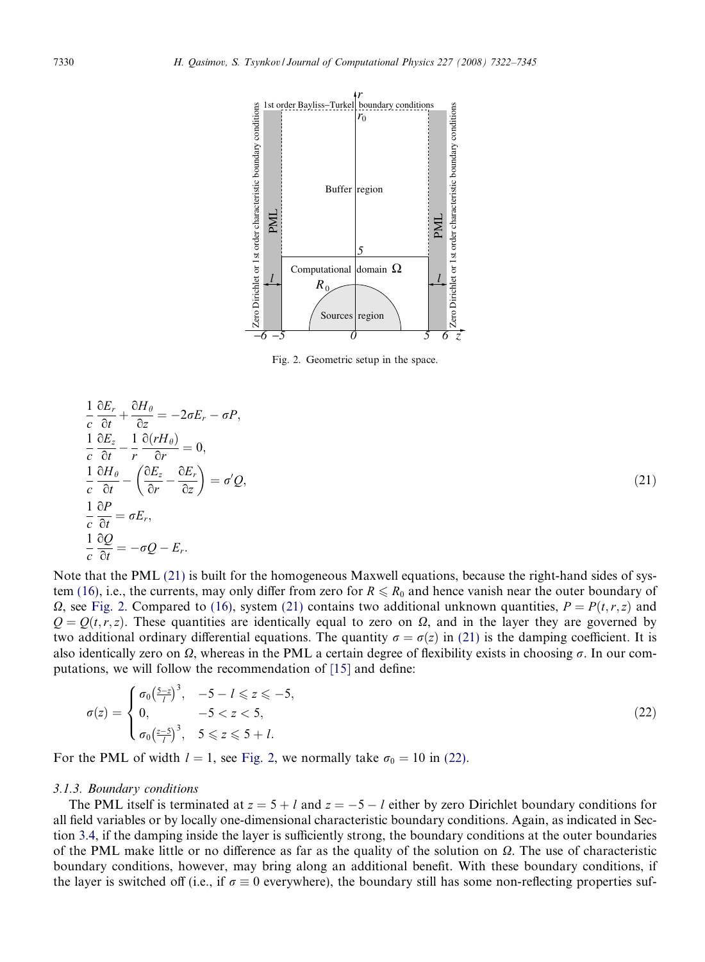<span id="page-8-0"></span>

Fig. 2. Geometric setup in the space.

$$
\frac{1}{c} \frac{\partial E_r}{\partial t} + \frac{\partial H_\theta}{\partial z} = -2\sigma E_r - \sigma P,
$$
\n
$$
\frac{1}{c} \frac{\partial E_z}{\partial t} - \frac{1}{r} \frac{\partial (rH_\theta)}{\partial r} = 0,
$$
\n
$$
\frac{1}{c} \frac{\partial H_\theta}{\partial t} - \left(\frac{\partial E_z}{\partial r} - \frac{\partial E_r}{\partial z}\right) = \sigma' Q,
$$
\n
$$
\frac{1}{c} \frac{\partial P}{\partial t} = \sigma E_r,
$$
\n
$$
\frac{1}{c} \frac{\partial Q}{\partial t} = -\sigma Q - E_r.
$$
\n(21)

Note that the PML (21) is built for the homogeneous Maxwell equations, because the right-hand sides of sys-tem [\(16\),](#page-7-0) i.e., the currents, may only differ from zero for  $R \le R_0$  and hence vanish near the outer boundary of  $\Omega$ , see Fig. 2. Compared to [\(16\),](#page-7-0) system (21) contains two additional unknown quantities,  $P = P(t, r, z)$  and  $Q = Q(t, r, z)$ . These quantities are identically equal to zero on  $\Omega$ , and in the layer they are governed by two additional ordinary differential equations. The quantity  $\sigma = \sigma(z)$  in (21) is the damping coefficient. It is also identically zero on  $\Omega$ , whereas in the PML a certain degree of flexibility exists in choosing  $\sigma$ . In our computations, we will follow the recommendation of [\[15\]](#page-22-0) and define:

$$
\sigma(z) = \begin{cases} \sigma_0 \left(\frac{5-z}{l}\right)^3, & -5 - l \leq z \leq -5, \\ 0, & -5 < z < 5, \\ \sigma_0 \left(\frac{z-5}{l}\right)^3, & 5 \leq z \leq 5 + l. \end{cases}
$$
 (22)

For the PML of width  $l = 1$ , see Fig. 2, we normally take  $\sigma_0 = 10$  in (22).

## 3.1.3. Boundary conditions

 $\Delta E$ 

 $\Delta I$ 

The PML itself is terminated at  $z = 5 + l$  and  $z = -5 - l$  either by zero Dirichlet boundary conditions for all field variables or by locally one-dimensional characteristic boundary conditions. Again, as indicated in Section [3.4,](#page-14-0) if the damping inside the layer is sufficiently strong, the boundary conditions at the outer boundaries of the PML make little or no difference as far as the quality of the solution on  $\Omega$ . The use of characteristic boundary conditions, however, may bring along an additional benefit. With these boundary conditions, if the layer is switched off (i.e., if  $\sigma \equiv 0$  everywhere), the boundary still has some non-reflecting properties suf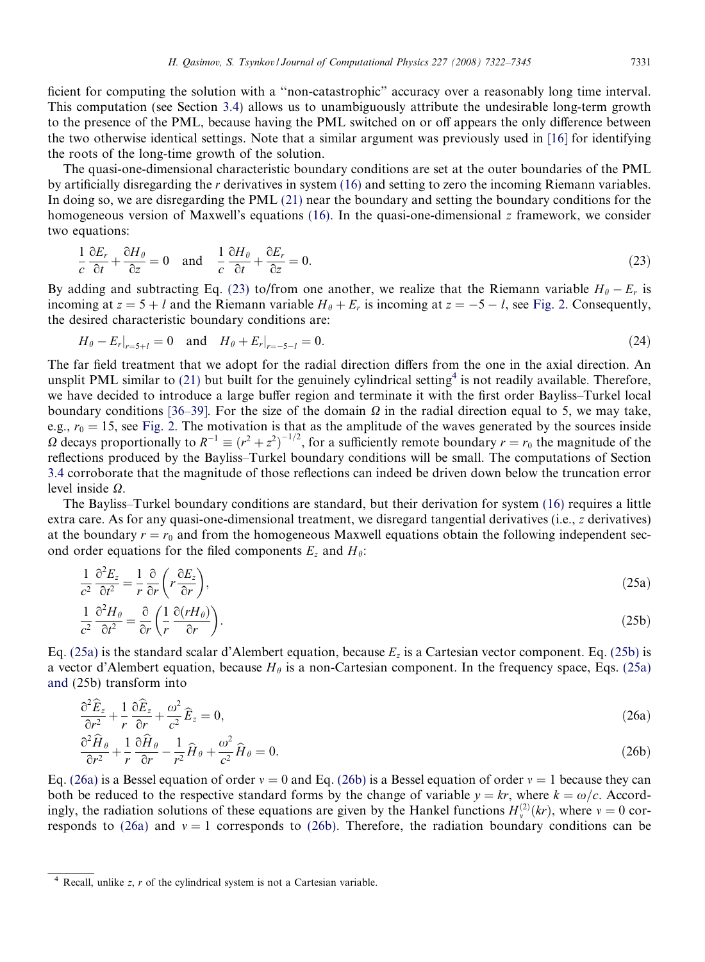<span id="page-9-0"></span>ficient for computing the solution with a ''non-catastrophic" accuracy over a reasonably long time interval. This computation (see Section [3.4\)](#page-14-0) allows us to unambiguously attribute the undesirable long-term growth to the presence of the PML, because having the PML switched on or off appears the only difference between the two otherwise identical settings. Note that a similar argument was previously used in [\[16\]](#page-22-0) for identifying the roots of the long-time growth of the solution.

The quasi-one-dimensional characteristic boundary conditions are set at the outer boundaries of the PML by artificially disregarding the r derivatives in system [\(16\)](#page-7-0) and setting to zero the incoming Riemann variables. In doing so, we are disregarding the PML [\(21\)](#page-8-0) near the boundary and setting the boundary conditions for the homogeneous version of Maxwell's equations [\(16\).](#page-7-0) In the quasi-one-dimensional z framework, we consider two equations:

$$
\frac{1}{c}\frac{\partial E_r}{\partial t} + \frac{\partial H_\theta}{\partial z} = 0 \quad \text{and} \quad \frac{1}{c}\frac{\partial H_\theta}{\partial t} + \frac{\partial E_r}{\partial z} = 0. \tag{23}
$$

By adding and subtracting Eq. (23) to/from one another, we realize that the Riemann variable  $H_{\theta} - E_r$  is incoming at  $z = 5 + l$  and the Riemann variable  $H_{\theta} + E_r$  is incoming at  $z = -5 - l$ , see [Fig. 2](#page-8-0). Consequently, the desired characteristic boundary conditions are:

$$
H_{\theta} - E_r|_{r=5+l} = 0 \quad \text{and} \quad H_{\theta} + E_r|_{r=-5-l} = 0. \tag{24}
$$

The far field treatment that we adopt for the radial direction differs from the one in the axial direction. An unsplit PML similar to [\(21\)](#page-8-0) but built for the genuinely cylindrical setting<sup>4</sup> is not readily available. Therefore, we have decided to introduce a large buffer region and terminate it with the first order Bayliss–Turkel local boundary conditions [\[36–39\]](#page-23-0). For the size of the domain  $\Omega$  in the radial direction equal to 5, we may take, e.g.,  $r_0 = 15$ , see [Fig. 2.](#page-8-0) The motivation is that as the amplitude of the waves generated by the sources inside  $\Omega$  decays proportionally to  $R^{-1} \equiv (r^2 + z^2)^{-1/2}$ , for a sufficiently remote boundary  $r = r_0$  the magnitude of the reflections produced by the Bayliss–Turkel boundary conditions will be small. The computations of Section [3.4](#page-14-0) corroborate that the magnitude of those reflections can indeed be driven down below the truncation error level inside  $\Omega$ .

The Bayliss–Turkel boundary conditions are standard, but their derivation for system [\(16\)](#page-7-0) requires a little extra care. As for any quasi-one-dimensional treatment, we disregard tangential derivatives (i.e., z derivatives) at the boundary  $r = r_0$  and from the homogeneous Maxwell equations obtain the following independent second order equations for the filed components  $E_z$  and  $H_\theta$ :

$$
\frac{1}{c^2} \frac{\partial^2 E_z}{\partial t^2} = \frac{1}{r} \frac{\partial}{\partial r} \left( r \frac{\partial E_z}{\partial r} \right),\tag{25a}
$$

$$
\frac{1}{c^2} \frac{\partial^2 H_{\theta}}{\partial t^2} = \frac{\partial}{\partial r} \left( \frac{1}{r} \frac{\partial (rH_{\theta})}{\partial r} \right). \tag{25b}
$$

Eq. (25a) is the standard scalar d'Alembert equation, because  $E_z$  is a Cartesian vector component. Eq. (25b) is a vector d'Alembert equation, because  $H_\theta$  is a non-Cartesian component. In the frequency space, Eqs. (25a) and (25b) transform into

$$
\frac{\partial^2 \widehat{E}_z}{\partial r^2} + \frac{1}{r} \frac{\partial \widehat{E}_z}{\partial r} + \frac{\omega^2}{c^2} \widehat{E}_z = 0, \tag{26a}
$$

$$
\frac{\partial^2 \widehat{H}_{\theta}}{\partial r^2} + \frac{1}{r} \frac{\partial \widehat{H}_{\theta}}{\partial r} - \frac{1}{r^2} \widehat{H}_{\theta} + \frac{\omega^2}{c^2} \widehat{H}_{\theta} = 0.
$$
\n(26b)

Eq. (26a) is a Bessel equation of order  $v = 0$  and Eq. (26b) is a Bessel equation of order  $v = 1$  because they can both be reduced to the respective standard forms by the change of variable  $y = kr$ , where  $k = \omega/c$ . Accordingly, the radiation solutions of these equations are given by the Hankel functions  $H_{\nu}^{(2)}(kr)$ , where  $\nu = 0$  corresponds to (26a) and  $v = 1$  corresponds to (26b). Therefore, the radiation boundary conditions can be

 $4$  Recall, unlike z, r of the cylindrical system is not a Cartesian variable.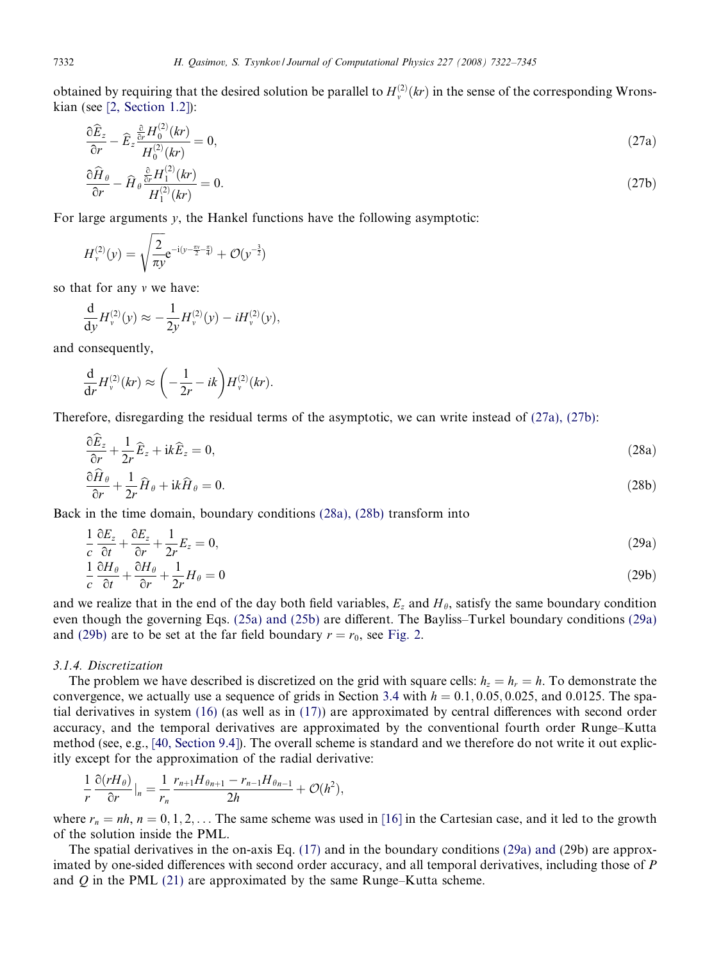obtained by requiring that the desired solution be parallel to  $H_{\nu}^{(2)}(kr)$  in the sense of the corresponding Wronskian (see [\[2, Section 1.2\]](#page-22-0)):

$$
\frac{\partial \widehat{E}_z}{\partial r} - \widehat{E}_z \frac{\partial}{\partial r} \frac{H_0^{(2)}(kr)}{H_0^{(2)}(kr)} = 0, \tag{27a}
$$

$$
\frac{\partial \widehat{H}_{\theta}}{\partial r} - \widehat{H}_{\theta} \frac{\frac{\partial}{\partial r} H_1^{(2)}(kr)}{H_1^{(2)}(kr)} = 0. \tag{27b}
$$

For large arguments y, the Hankel functions have the following asymptotic:

$$
H_{\nu}^{(2)}(y) = \sqrt{\frac{2}{\pi y}} e^{-i(y - \frac{\pi \nu}{2} - \frac{\pi}{4})} + \mathcal{O}(y^{-\frac{3}{2}})
$$

so that for any  $\nu$  we have:

$$
\frac{\mathrm{d}}{\mathrm{d}y}H_{\nu}^{(2)}(y) \approx -\frac{1}{2y}H_{\nu}^{(2)}(y) - iH_{\nu}^{(2)}(y),
$$

and consequently,

$$
\frac{\mathrm{d}}{\mathrm{d}r}H_{\nu}^{(2)}(kr)\approx\left(-\frac{1}{2r}-ik\right)H_{\nu}^{(2)}(kr).
$$

Therefore, disregarding the residual terms of the asymptotic, we can write instead of (27a), (27b):

$$
\frac{\partial \widehat{E}_z}{\partial r} + \frac{1}{2r} \widehat{E}_z + ik \widehat{E}_z = 0, \tag{28a}
$$
\n
$$
\frac{\partial \widehat{H}_\theta}{\partial r} + \frac{1}{2r} \widehat{H}_\theta + ik \widehat{H}_\theta = 0. \tag{28b}
$$

Back in the time domain, boundary conditions (28a), (28b) transform into

$$
\frac{1}{c}\frac{\partial E_z}{\partial t} + \frac{\partial E_z}{\partial r} + \frac{1}{2r}E_z = 0,\tag{29a}
$$

$$
\frac{1}{c}\frac{\partial H_{\theta}}{\partial t} + \frac{\partial H_{\theta}}{\partial r} + \frac{1}{2r}H_{\theta} = 0
$$
\n(29b)

and we realize that in the end of the day both field variables,  $E_z$  and  $H_\theta$ , satisfy the same boundary condition even though the governing Eqs. [\(25a\) and \(25b\)](#page-9-0) are different. The Bayliss–Turkel boundary conditions (29a) and (29b) are to be set at the far field boundary  $r = r_0$ , see [Fig. 2.](#page-8-0)

#### 3.1.4. Discretization

The problem we have described is discretized on the grid with square cells:  $h_z = h_r = h$ . To demonstrate the convergence, we actually use a sequence of grids in Section [3.4](#page-14-0) with  $h = 0.1, 0.05, 0.025,$  and 0.0125. The spatial derivatives in system [\(16\)](#page-7-0) (as well as in [\(17\)](#page-7-0)) are approximated by central differences with second order accuracy, and the temporal derivatives are approximated by the conventional fourth order Runge–Kutta method (see, e.g., [\[40, Section 9.4\]](#page-23-0)). The overall scheme is standard and we therefore do not write it out explicitly except for the approximation of the radial derivative:

$$
\frac{1}{r}\frac{\partial(rH_{\theta})}{\partial r}|_n=\frac{1}{r_n}\frac{r_{n+1}H_{\theta n+1}-r_{n-1}H_{\theta n-1}}{2h}+\mathcal{O}(h^2),
$$

where  $r_n = nh$ ,  $n = 0, 1, 2, \ldots$  The same scheme was used in [\[16\]](#page-22-0) in the Cartesian case, and it led to the growth of the solution inside the PML.

The spatial derivatives in the on-axis Eq. [\(17\)](#page-7-0) and in the boundary conditions (29a) and (29b) are approximated by one-sided differences with second order accuracy, and all temporal derivatives, including those of P and  $Q$  in the PML [\(21\)](#page-8-0) are approximated by the same Runge–Kutta scheme.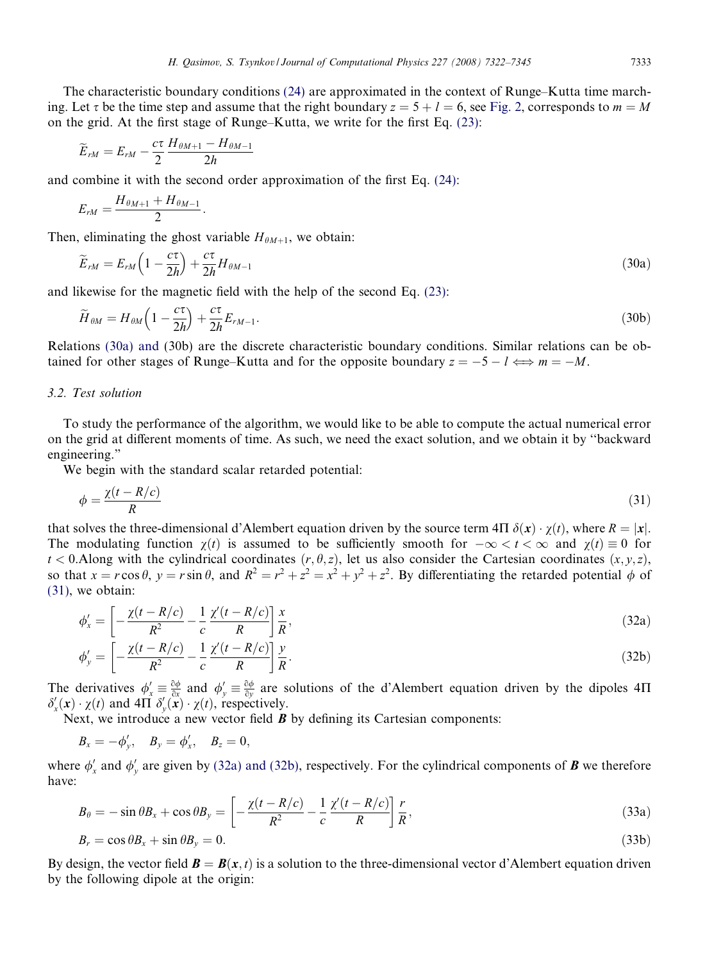<span id="page-11-0"></span>The characteristic boundary conditions [\(24\)](#page-9-0) are approximated in the context of Runge–Kutta time marching. Let  $\tau$  be the time step and assume that the right boundary  $z = 5 + l = 6$ , see [Fig. 2,](#page-8-0) corresponds to  $m = M$ on the grid. At the first stage of Runge–Kutta, we write for the first Eq. [\(23\):](#page-9-0)

$$
\widetilde{E}_{rM}=E_{rM}-\frac{c\tau}{2}\frac{H_{\theta M+1}-H_{\theta M-1}}{2h}
$$

and combine it with the second order approximation of the first Eq. [\(24\)](#page-9-0):

$$
E_{rM}=\frac{H_{\theta M+1}+H_{\theta M-1}}{2}.
$$

Then, eliminating the ghost variable  $H_{\theta M+1}$ , we obtain:

$$
\widetilde{E}_{rM} = E_{rM} \left( 1 - \frac{c\tau}{2h} \right) + \frac{c\tau}{2h} H_{\theta M - 1} \tag{30a}
$$

and likewise for the magnetic field with the help of the second Eq. [\(23\):](#page-9-0)

$$
\widetilde{H}_{\theta M} = H_{\theta M} \left( 1 - \frac{c\tau}{2h} \right) + \frac{c\tau}{2h} E_{rM-1}.
$$
\n(30b)

Relations (30a) and (30b) are the discrete characteristic boundary conditions. Similar relations can be obtained for other stages of Runge–Kutta and for the opposite boundary  $z = -5 - l \Longleftrightarrow m = -M$ .

# 3.2. Test solution

To study the performance of the algorithm, we would like to be able to compute the actual numerical error on the grid at different moments of time. As such, we need the exact solution, and we obtain it by ''backward engineering."

We begin with the standard scalar retarded potential:

$$
\phi = \frac{\chi(t - R/c)}{R} \tag{31}
$$

that solves the three-dimensional d'Alembert equation driven by the source term  $4\Pi \delta(x) \cdot \gamma(t)$ , where  $R = |x|$ . The modulating function  $\chi(t)$  is assumed to be sufficiently smooth for  $-\infty < t < \infty$  and  $\chi(t) \equiv 0$  for  $t < 0$ . Along with the cylindrical coordinates  $(r, \theta, z)$ , let us also consider the Cartesian coordinates  $(x, y, z)$ , so that  $x = r \cos \theta$ ,  $y = r \sin \theta$ , and  $R^2 = r^2 + z^2 = x^2 + y^2 + z^2$ . By differentiating the retarded potential  $\phi$  of (31), we obtain:

$$
\phi'_x = \left[ -\frac{\chi(t - R/c)}{R^2} - \frac{1}{c} \frac{\chi'(t - R/c)}{R} \right] \frac{x}{R},\tag{32a}
$$

$$
\phi'_{y} = \left[ -\frac{\chi(t - R/c)}{R^2} - \frac{1}{c} \frac{\chi'(t - R/c)}{R} \right] \frac{y}{R}.
$$
\n(32b)

The derivatives  $\phi'_x \equiv \frac{\partial \phi}{\partial x}$  and  $\phi'_y \equiv \frac{\partial \phi}{\partial y}$  are solutions of the d'Alembert equation driven by the dipoles 4 $\Pi$  $\delta'_x(\mathbf{x}) \cdot \chi(t)$  and  $4\Pi \delta'_y(\mathbf{x}) \cdot \chi(t)$ , respectively.

Next, we introduce a new vector field  $\boldsymbol{B}$  by defining its Cartesian components:

$$
B_x=-\phi'_y, \quad B_y=\phi'_x, \quad B_z=0,
$$

where  $\phi'_x$  and  $\phi'_y$  are given by (32a) and (32b), respectively. For the cylindrical components of **B** we therefore have:

$$
B_{\theta} = -\sin\theta B_x + \cos\theta B_y = \left[ -\frac{\chi(t - R/c)}{R^2} - \frac{1}{c} \frac{\chi'(t - R/c)}{R} \right] \frac{r}{R},\tag{33a}
$$

$$
B_r = \cos \theta B_x + \sin \theta B_y = 0. \tag{33b}
$$

By design, the vector field  $\mathbf{B} = \mathbf{B}(x, t)$  is a solution to the three-dimensional vector d'Alembert equation driven by the following dipole at the origin: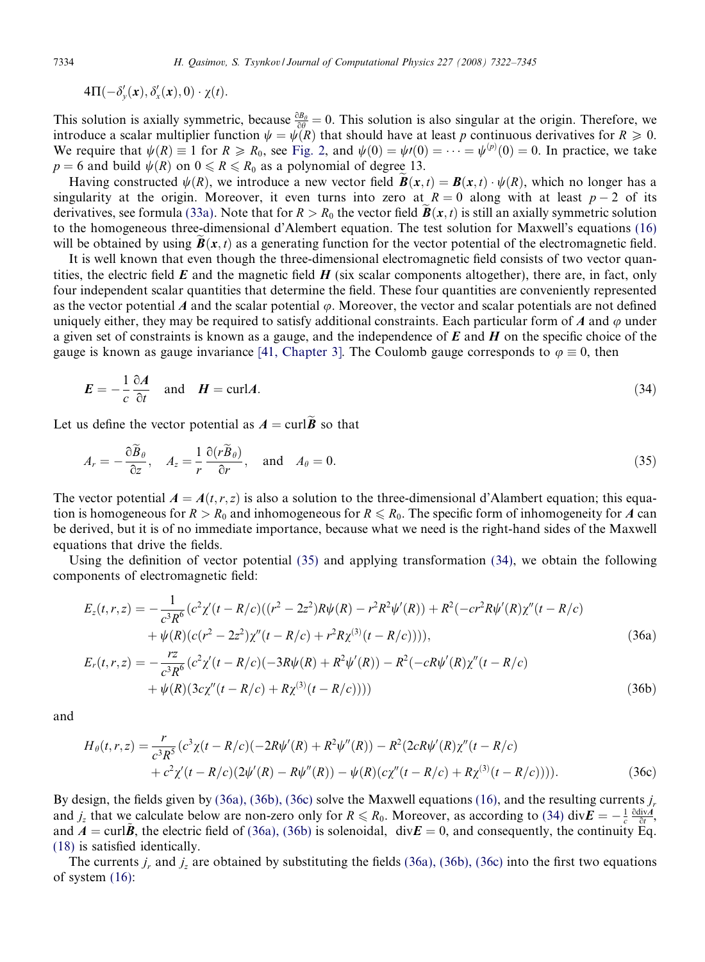$4\Pi(-\delta_y'(\mathbf{x}),\delta_x'(\mathbf{x}),0)\cdot \chi(t).$ 

This solution is axially symmetric, because  $\frac{\partial B_\theta}{\partial \theta} = 0$ . This solution is also singular at the origin. Therefore, we introduce a scalar multiplier function  $\psi = \psi(R)$  that should have at least p continuous derivatives for  $R \ge 0$ . We require that  $\psi(R) \equiv 1$  for  $R \ge R_0$ , see [Fig. 2,](#page-8-0) and  $\psi(0) = \psi(0) = \cdots = \psi^{(p)}(0) = 0$ . In practice, we take  $p = 6$  and build  $\psi(R)$  on  $0 \le R \le R_0$  as a polynomial of degree 13.

Having constructed  $\psi(R)$ , we introduce a new vector field  $\mathbf{B}(\mathbf{x}, t) = \mathbf{B}(\mathbf{x}, t) \cdot \psi(R)$ , which no longer has a singularity at the origin. Moreover, it even turns into zero at  $R = 0$  along with at least  $p - 2$  of its derivatives, see formula [\(33a\)](#page-11-0). Note that for  $R > R_0$  the vector field  $\mathbf{B}(x, t)$  is still an axially symmetric solution to the homogeneous three-dimensional d'Alembert equation. The test solution for Maxwell's equations [\(16\)](#page-7-0) will be obtained by using  $B(x, t)$  as a generating function for the vector potential of the electromagnetic field.

It is well known that even though the three-dimensional electromagnetic field consists of two vector quantities, the electric field  $E$  and the magnetic field  $H$  (six scalar components altogether), there are, in fact, only four independent scalar quantities that determine the field. These four quantities are conveniently represented as the vector potential A and the scalar potential  $\varphi$ . Moreover, the vector and scalar potentials are not defined uniquely either, they may be required to satisfy additional constraints. Each particular form of A and  $\varphi$  under a given set of constraints is known as a gauge, and the independence of  $E$  and  $H$  on the specific choice of the gauge is known as gauge invariance [\[41, Chapter 3\].](#page-23-0) The Coulomb gauge corresponds to  $\varphi \equiv 0$ , then

$$
E = -\frac{1}{c} \frac{\partial A}{\partial t} \quad \text{and} \quad H = \text{curl}A. \tag{34}
$$

Let us define the vector potential as  $A = \text{curl} \tilde{B}$  so that

$$
A_r = -\frac{\partial \tilde{B}_\theta}{\partial z}, \quad A_z = \frac{1}{r} \frac{\partial (r \tilde{B}_\theta)}{\partial r}, \quad \text{and} \quad A_\theta = 0.
$$
 (35)

The vector potential  $A = A(t, r, z)$  is also a solution to the three-dimensional d'Alambert equation; this equation is homogeneous for  $R > R_0$  and inhomogeneous for  $R \le R_0$ . The specific form of inhomogeneity for A can be derived, but it is of no immediate importance, because what we need is the right-hand sides of the Maxwell equations that drive the fields.

Using the definition of vector potential (35) and applying transformation (34), we obtain the following components of electromagnetic field:

$$
E_z(t, r, z) = -\frac{1}{c^3 R^6} (c^2 \chi'(t - R/c)((r^2 - 2z^2)R\psi(R) - r^2 R^2 \psi'(R)) + R^2(-cr^2 R\psi'(R)\chi''(t - R/c) + \psi(R)(c(r^2 - 2z^2)\chi''(t - R/c) + r^2 R \chi^{(3)}(t - R/c))))
$$
\n(36a)  
\n
$$
E_r(t, r, z) = -\frac{rz}{c^3 R^6} (c^2 \chi'(t - R/c)(-3R\psi(R) + R^2 \psi'(R)) - R^2(-cR\psi'(R)\chi''(t - R/c) + \psi(R)(3c\chi''(t - R/c) + R\chi^{(3)}(t - R/c))))
$$
\n(36b)

and

$$
H_{\theta}(t,r,z) = \frac{r}{c^3 R^5} (c^3 \chi(t - R/c)(-2R\psi'(R) + R^2 \psi''(R)) - R^2 (2cR\psi'(R)\chi''(t - R/c) + c^2 \chi'(t - R/c)(2\psi'(R) - R\psi''(R)) - \psi(R)(c\chi''(t - R/c) + R\chi^{(3)}(t - R/c))))
$$
\n(36c)

By design, the fields given by  $(36a)$ ,  $(36b)$ ,  $(36c)$  solve the Maxwell equations [\(16\)](#page-7-0), and the resulting currents j. and  $j_z$  that we calculate below are non-zero only for  $R \le R_0$ . Moreover, as according to (34) div $\mathbf{E} = -\frac{1}{c} \frac{\partial \text{div} A}{\partial t}$ , and  $A = \text{curl } \tilde{B}$ , the electric field of (36a), (36b) is solenoidal, div $E = 0$ , and consequently, the continuity Eq. [\(18\)](#page-7-0) is satisfied identically.

The currents  $j_r$  and  $j_z$  are obtained by substituting the fields (36a), (36b), (36c) into the first two equations of system [\(16\):](#page-7-0)

<span id="page-12-0"></span>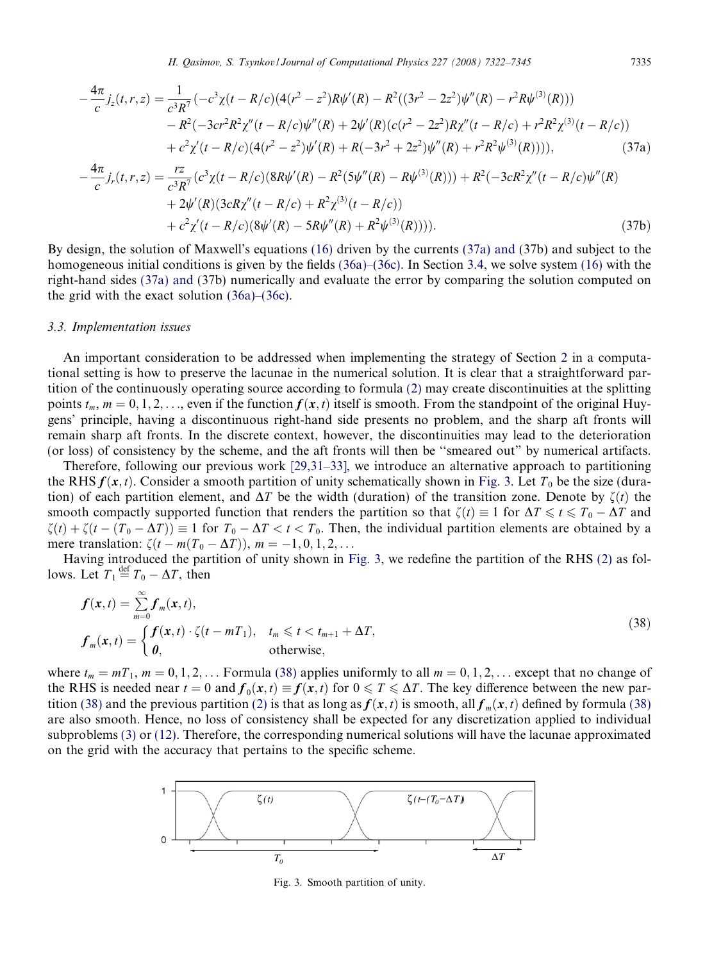H. Qasimov, S. Tsynkov / Journal of Computational Physics 227 (2008) 7322–7345 7335

<span id="page-13-0"></span>
$$
-\frac{4\pi}{c}j_z(t,r,z) = \frac{1}{c^3R^7}(-c^3\chi(t-R/c)(4(r^2-z^2)R\psi'(R)-R^2((3r^2-2z^2)\psi''(R)-r^2R\psi^{(3)}(R)))
$$
  

$$
-R^2(-3cr^2R^2\chi''(t-R/c)\psi''(R)+2\psi'(R)(c(r^2-2z^2)R\chi''(t-R/c)+r^2R^2\chi^{(3)}(t-R/c))
$$
  

$$
+c^2\chi'(t-R/c)(4(r^2-z^2)\psi'(R)+R(-3r^2+2z^2)\psi''(R)+r^2R^2\psi^{(3)}(R)))),
$$
 (37a)

$$
-\frac{4\pi}{c}j_r(t,r,z) = \frac{rz}{c^3R^7}(c^3\chi(t-R/c)(8R\psi'(R)-R^2(5\psi''(R)-R\psi^{(3)}(R))) + R^2(-3cR^2\chi''(t-R/c)\psi''(R) + 2\psi'(R)(3cR\chi''(t-R/c)+R^2\chi^{(3)}(t-R/c)) + c^2\chi'(t-R/c)(8\psi'(R)-5R\psi''(R)+R^2\psi^{(3)}(R)))).
$$
\n(37b)

By design, the solution of Maxwell's equations [\(16\)](#page-7-0) driven by the currents (37a) and (37b) and subject to the homogeneous initial conditions is given by the fields [\(36a\)–\(36c\)](#page-12-0). In Section [3.4,](#page-14-0) we solve system [\(16\)](#page-7-0) with the right-hand sides (37a) and (37b) numerically and evaluate the error by comparing the solution computed on the grid with the exact solution [\(36a\)–\(36c\)](#page-12-0).

## 3.3. Implementation issues

An important consideration to be addressed when implementing the strategy of Section [2](#page-2-0) in a computational setting is how to preserve the lacunae in the numerical solution. It is clear that a straightforward partition of the continuously operating source according to formula [\(2\)](#page-3-0) may create discontinuities at the splitting points  $t_m$ ,  $m = 0, 1, 2, \ldots$ , even if the function  $f(x, t)$  itself is smooth. From the standpoint of the original Huygens' principle, having a discontinuous right-hand side presents no problem, and the sharp aft fronts will remain sharp aft fronts. In the discrete context, however, the discontinuities may lead to the deterioration (or loss) of consistency by the scheme, and the aft fronts will then be ''smeared out" by numerical artifacts.

Therefore, following our previous work [\[29,31–33\],](#page-23-0) we introduce an alternative approach to partitioning the RHS  $f(x, t)$ . Consider a smooth partition of unity schematically shown in Fig. 3. Let  $T_0$  be the size (duration) of each partition element, and  $\Delta T$  be the width (duration) of the transition zone. Denote by  $\zeta(t)$  the smooth compactly supported function that renders the partition so that  $\zeta(t) \equiv 1$  for  $\Delta T \le t \le T_0 - \Delta T$  and  $\zeta(t) + \zeta(t - (T_0 - \Delta T)) \equiv 1$  for  $T_0 - \Delta T < t < T_0$ . Then, the individual partition elements are obtained by a mere translation:  $\zeta(t - m(T_0 - \Delta T))$ ,  $m = -1, 0, 1, 2, \ldots$ 

Having introduced the partition of unity shown in Fig. 3, we redefine the partition of the RHS [\(2\)](#page-3-0) as follows. Let  $T_1 \stackrel{\text{def}}{=} T_0 - \Delta T$ , then

$$
f(\mathbf{x},t) = \sum_{m=0}^{\infty} f_m(\mathbf{x},t),
$$
  
\n
$$
f_m(\mathbf{x},t) = \begin{cases} f(\mathbf{x},t) \cdot \zeta(t-mT_1), & t_m \leq t < t_{m+1} + \Delta T, \\ 0, & \text{otherwise,} \end{cases}
$$
\n(38)

where  $t_m = mT_1$ ,  $m = 0, 1, 2, \ldots$  Formula (38) applies uniformly to all  $m = 0, 1, 2, \ldots$  except that no change of the RHS is needed near  $t = 0$  and  $f_0(x, t) \equiv f(x, t)$  for  $0 \leq T \leq \Delta T$ . The key difference between the new par-tition (38) and the previous partition [\(2\)](#page-3-0) is that as long as  $f(x, t)$  is smooth, all  $f_m(x, t)$  defined by formula (38) are also smooth. Hence, no loss of consistency shall be expected for any discretization applied to individual subproblems [\(3\)](#page-3-0) or [\(12\)](#page-5-0). Therefore, the corresponding numerical solutions will have the lacunae approximated on the grid with the accuracy that pertains to the specific scheme.



Fig. 3. Smooth partition of unity.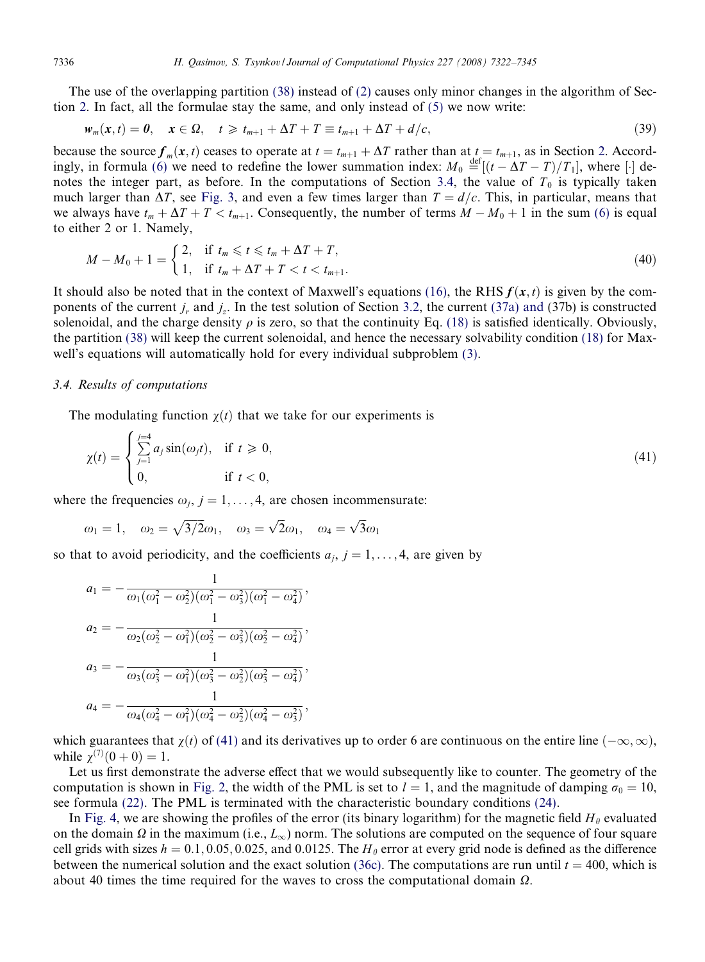The use of the overlapping partition [\(38\)](#page-13-0) instead of [\(2\)](#page-3-0) causes only minor changes in the algorithm of Section [2.](#page-2-0) In fact, all the formulae stay the same, and only instead of [\(5\)](#page-4-0) we now write:

$$
w_m(x,t) = 0, \quad x \in \Omega, \quad t \geq t_{m+1} + \Delta T + T \equiv t_{m+1} + \Delta T + d/c,
$$
\n
$$
(39)
$$

because the source  $f_m(x, t)$  ceases to operate at  $t = t_{m+1} + \Delta T$  rather than at  $t = t_{m+1}$ , as in Section [2](#page-2-0). Accord-ingly, in formula [\(6\)](#page-4-0) we need to redefine the lower summation index:  $M_0 \stackrel{\text{def}}{=} [(t - \Delta T - T)/T_1]$ , where [·] denotes the integer part, as before. In the computations of Section 3.4, the value of  $T_0$  is typically taken much larger than  $\Delta T$ , see [Fig. 3,](#page-13-0) and even a few times larger than  $T = d/c$ . This, in particular, means that we always have  $t_m + \Delta T + T < t_{m+1}$ . Consequently, the number of terms  $M - M_0 + 1$  in the sum [\(6\)](#page-4-0) is equal to either 2 or 1. Namely,

$$
M - M_0 + 1 = \begin{cases} 2, & \text{if } t_m \leq t \leq t_m + \Delta T + T, \\ 1, & \text{if } t_m + \Delta T + T < t < t_{m+1}. \end{cases} \tag{40}
$$

It should also be noted that in the context of Maxwell's equations [\(16\)](#page-7-0), the RHS  $f(x, t)$  is given by the components of the current  $j_r$  and  $j_z$ . In the test solution of Section [3.2,](#page-11-0) the current [\(37a\) and](#page-13-0) (37b) is constructed solenoidal, and the charge density  $\rho$  is zero, so that the continuity Eq. [\(18\)](#page-7-0) is satisfied identically. Obviously, the partition [\(38\)](#page-13-0) will keep the current solenoidal, and hence the necessary solvability condition [\(18\)](#page-7-0) for Maxwell's equations will automatically hold for every individual subproblem [\(3\).](#page-3-0)

## 3.4. Results of computations

The modulating function  $\chi(t)$  that we take for our experiments is

$$
\chi(t) = \begin{cases}\n\sum_{j=1}^{j=4} a_j \sin(\omega_j t), & \text{if } t \ge 0, \\
0, & \text{if } t < 0,\n\end{cases}
$$
\n(41)

where the frequencies  $\omega_i$ ,  $j = 1, \ldots, 4$ , are chosen incommensurate:

$$
\omega_1 = 1
$$
,  $\omega_2 = \sqrt{3/2}\omega_1$ ,  $\omega_3 = \sqrt{2}\omega_1$ ,  $\omega_4 = \sqrt{3}\omega_1$ 

so that to avoid periodicity, and the coefficients  $a_i$ ,  $j = 1, \ldots, 4$ , are given by

$$
a_1 = -\frac{1}{\omega_1(\omega_1^2 - \omega_2^2)(\omega_1^2 - \omega_3^2)(\omega_1^2 - \omega_4^2)},
$$
  
\n
$$
a_2 = -\frac{1}{\omega_2(\omega_2^2 - \omega_1^2)(\omega_2^2 - \omega_3^2)(\omega_2^2 - \omega_4^2)},
$$
  
\n
$$
a_3 = -\frac{1}{\omega_3(\omega_3^2 - \omega_1^2)(\omega_3^2 - \omega_2^2)(\omega_3^2 - \omega_4^2)},
$$
  
\n
$$
a_4 = -\frac{1}{\omega_4(\omega_4^2 - \omega_1^2)(\omega_4^2 - \omega_2^2)(\omega_4^2 - \omega_3^2)},
$$

which guarantees that  $\chi(t)$  of (41) and its derivatives up to order 6 are continuous on the entire line  $(-\infty, \infty)$ , while  $\chi^{(7)}(0+0) = 1$ .

Let us first demonstrate the adverse effect that we would subsequently like to counter. The geometry of the computation is shown in [Fig. 2,](#page-8-0) the width of the PML is set to  $l = 1$ , and the magnitude of damping  $\sigma_0 = 10$ , see formula [\(22\)](#page-8-0). The PML is terminated with the characteristic boundary conditions [\(24\).](#page-9-0)

In [Fig. 4,](#page-15-0) we are showing the profiles of the error (its binary logarithm) for the magnetic field  $H_\theta$  evaluated on the domain  $\Omega$  in the maximum (i.e.,  $L_{\infty}$ ) norm. The solutions are computed on the sequence of four square cell grids with sizes  $h = 0.1, 0.05, 0.025,$  and 0.0125. The  $H_\theta$  error at every grid node is defined as the difference between the numerical solution and the exact solution [\(36c\).](#page-12-0) The computations are run until  $t = 400$ , which is about 40 times the time required for the waves to cross the computational domain  $\Omega$ .

<span id="page-14-0"></span>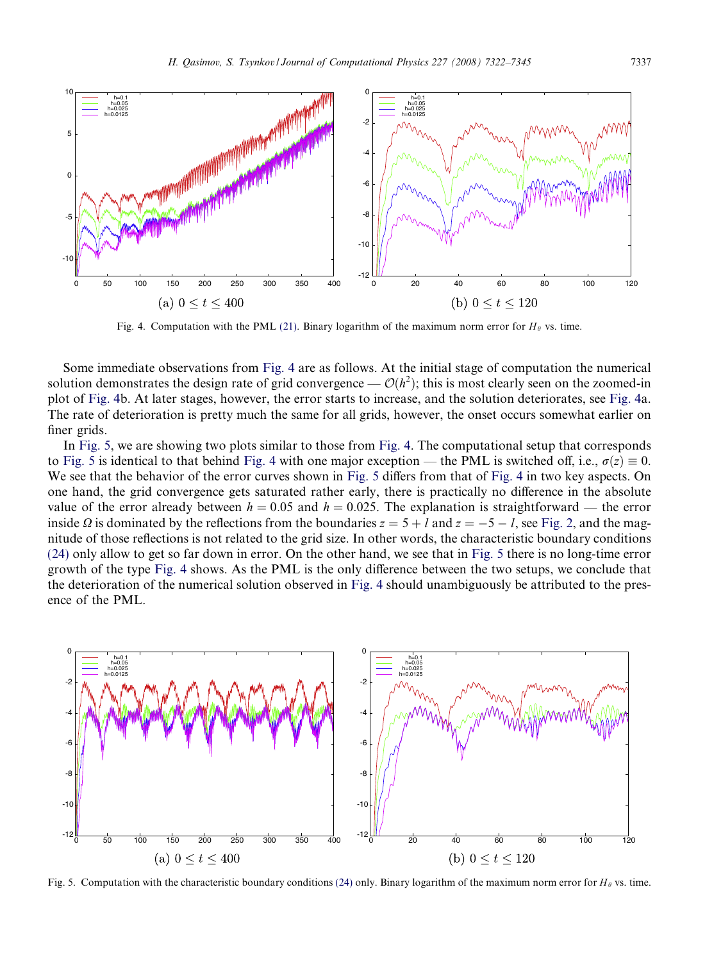<span id="page-15-0"></span>

Fig. 4. Computation with the PML [\(21\)](#page-8-0). Binary logarithm of the maximum norm error for  $H_\theta$  vs. time.

Some immediate observations from Fig. 4 are as follows. At the initial stage of computation the numerical solution demonstrates the design rate of grid convergence  $-\mathcal{O}(h^2)$ ; this is most clearly seen on the zoomed-in plot of Fig. 4b. At later stages, however, the error starts to increase, and the solution deteriorates, see Fig. 4a. The rate of deterioration is pretty much the same for all grids, however, the onset occurs somewhat earlier on finer grids.

In Fig. 5, we are showing two plots similar to those from Fig. 4. The computational setup that corresponds to Fig. 5 is identical to that behind Fig. 4 with one major exception — the PML is switched off, i.e.,  $\sigma(z) \equiv 0$ . We see that the behavior of the error curves shown in Fig. 5 differs from that of Fig. 4 in two key aspects. On one hand, the grid convergence gets saturated rather early, there is practically no difference in the absolute value of the error already between  $h = 0.05$  and  $h = 0.025$ . The explanation is straightforward — the error inside  $\Omega$  is dominated by the reflections from the boundaries  $z = 5 + l$  and  $z = -5 - l$ , see [Fig. 2](#page-8-0), and the magnitude of those reflections is not related to the grid size. In other words, the characteristic boundary conditions [\(24\)](#page-9-0) only allow to get so far down in error. On the other hand, we see that in Fig. 5 there is no long-time error growth of the type Fig. 4 shows. As the PML is the only difference between the two setups, we conclude that the deterioration of the numerical solution observed in Fig. 4 should unambiguously be attributed to the presence of the PML.



Fig. 5. Computation with the characteristic boundary conditions [\(24\)](#page-9-0) only. Binary logarithm of the maximum norm error for  $H_{\theta}$  vs. time.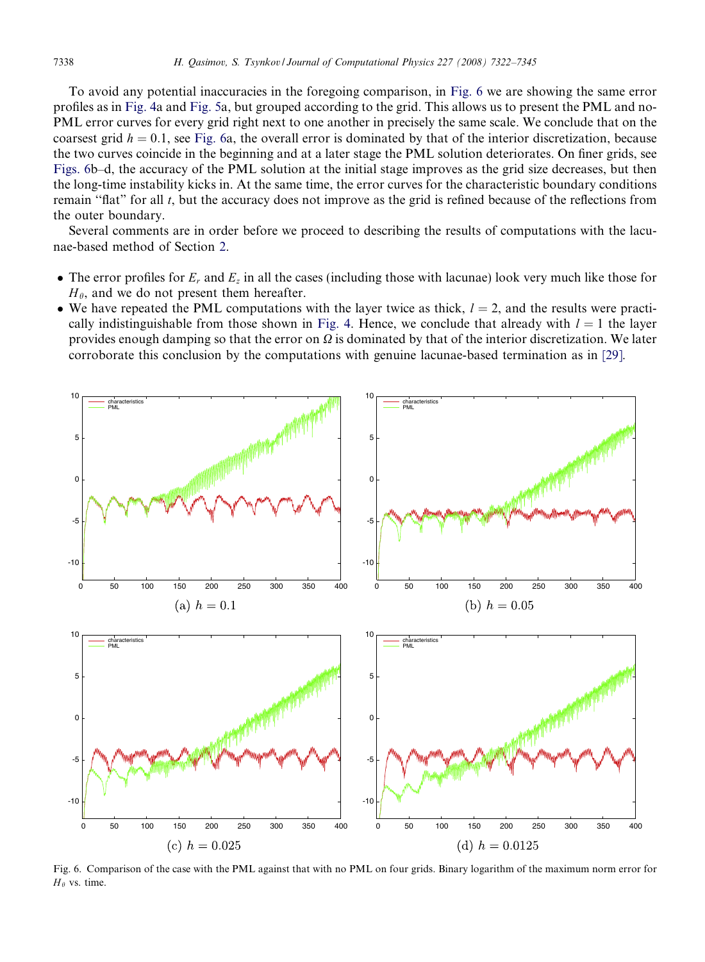To avoid any potential inaccuracies in the foregoing comparison, in Fig. 6 we are showing the same error profiles as in [Fig. 4a](#page-15-0) and [Fig. 5a](#page-15-0), but grouped according to the grid. This allows us to present the PML and no-PML error curves for every grid right next to one another in precisely the same scale. We conclude that on the coarsest grid  $h = 0.1$ , see Fig. 6a, the overall error is dominated by that of the interior discretization, because the two curves coincide in the beginning and at a later stage the PML solution deteriorates. On finer grids, see Figs. 6b–d, the accuracy of the PML solution at the initial stage improves as the grid size decreases, but then the long-time instability kicks in. At the same time, the error curves for the characteristic boundary conditions remain "flat" for all t, but the accuracy does not improve as the grid is refined because of the reflections from the outer boundary.

Several comments are in order before we proceed to describing the results of computations with the lacunae-based method of Section [2](#page-2-0).

- The error profiles for  $E_r$  and  $E_z$  in all the cases (including those with lacunae) look very much like those for  $H_{\theta}$ , and we do not present them hereafter.
- We have repeated the PML computations with the layer twice as thick,  $l = 2$ , and the results were practi-cally indistinguishable from those shown in [Fig. 4.](#page-15-0) Hence, we conclude that already with  $l = 1$  the layer provides enough damping so that the error on  $\Omega$  is dominated by that of the interior discretization. We later corroborate this conclusion by the computations with genuine lacunae-based termination as in [\[29\].](#page-23-0)



Fig. 6. Comparison of the case with the PML against that with no PML on four grids. Binary logarithm of the maximum norm error for  $H_\theta$  vs. time.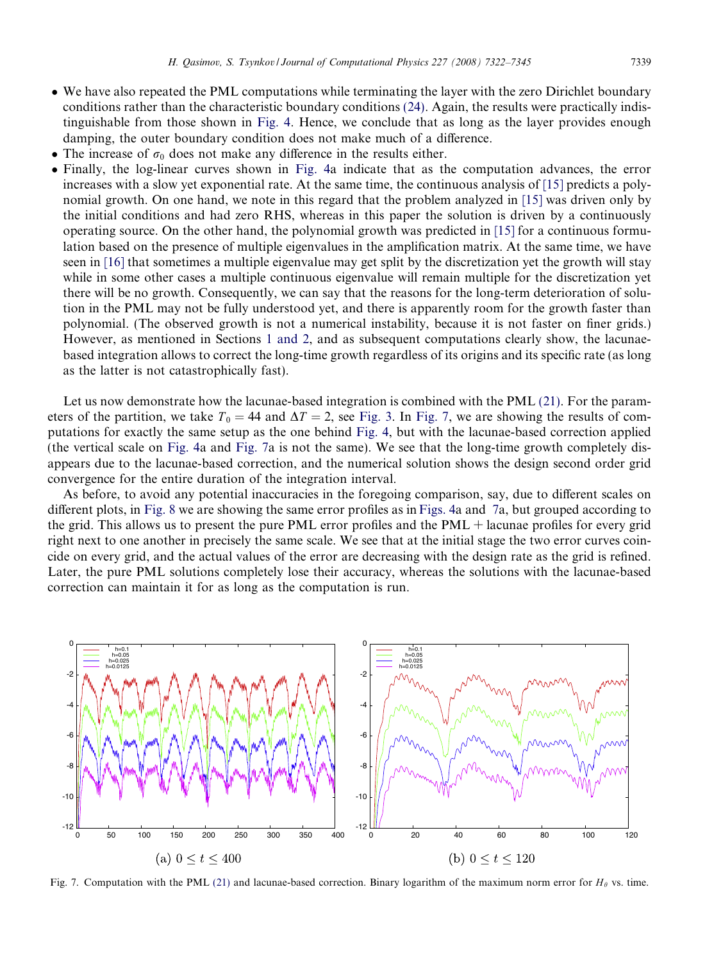- <span id="page-17-0"></span> We have also repeated the PML computations while terminating the layer with the zero Dirichlet boundary conditions rather than the characteristic boundary conditions [\(24\)](#page-9-0). Again, the results were practically indistinguishable from those shown in [Fig. 4](#page-15-0). Hence, we conclude that as long as the layer provides enough damping, the outer boundary condition does not make much of a difference.
- The increase of  $\sigma_0$  does not make any difference in the results either.
- Finally, the log-linear curves shown in [Fig. 4](#page-15-0)a indicate that as the computation advances, the error increases with a slow yet exponential rate. At the same time, the continuous analysis of [\[15\]](#page-22-0) predicts a polynomial growth. On one hand, we note in this regard that the problem analyzed in [\[15\]](#page-22-0) was driven only by the initial conditions and had zero RHS, whereas in this paper the solution is driven by a continuously operating source. On the other hand, the polynomial growth was predicted in [\[15\]](#page-22-0) for a continuous formulation based on the presence of multiple eigenvalues in the amplification matrix. At the same time, we have seen in [\[16\]](#page-22-0) that sometimes a multiple eigenvalue may get split by the discretization yet the growth will stay while in some other cases a multiple continuous eigenvalue will remain multiple for the discretization yet there will be no growth. Consequently, we can say that the reasons for the long-term deterioration of solution in the PML may not be fully understood yet, and there is apparently room for the growth faster than polynomial. (The observed growth is not a numerical instability, because it is not faster on finer grids.) However, as mentioned in Sections [1 and 2,](#page-0-0) and as subsequent computations clearly show, the lacunaebased integration allows to correct the long-time growth regardless of its origins and its specific rate (as long as the latter is not catastrophically fast).

Let us now demonstrate how the lacunae-based integration is combined with the PML [\(21\).](#page-8-0) For the parameters of the partition, we take  $T_0 = 44$  and  $\Delta T = 2$ , see [Fig. 3.](#page-13-0) In Fig. 7, we are showing the results of computations for exactly the same setup as the one behind [Fig. 4](#page-15-0), but with the lacunae-based correction applied (the vertical scale on [Fig. 4](#page-15-0)a and Fig. 7a is not the same). We see that the long-time growth completely disappears due to the lacunae-based correction, and the numerical solution shows the design second order grid convergence for the entire duration of the integration interval.

As before, to avoid any potential inaccuracies in the foregoing comparison, say, due to different scales on different plots, in [Fig. 8](#page-18-0) we are showing the same error profiles as in[Figs. 4](#page-15-0)a and 7a, but grouped according to the grid. This allows us to present the pure PML error profiles and the PML + lacunae profiles for every grid right next to one another in precisely the same scale. We see that at the initial stage the two error curves coincide on every grid, and the actual values of the error are decreasing with the design rate as the grid is refined. Later, the pure PML solutions completely lose their accuracy, whereas the solutions with the lacunae-based correction can maintain it for as long as the computation is run.



Fig. 7. Computation with the PML [\(21\)](#page-8-0) and lacunae-based correction. Binary logarithm of the maximum norm error for  $H_\theta$  vs. time.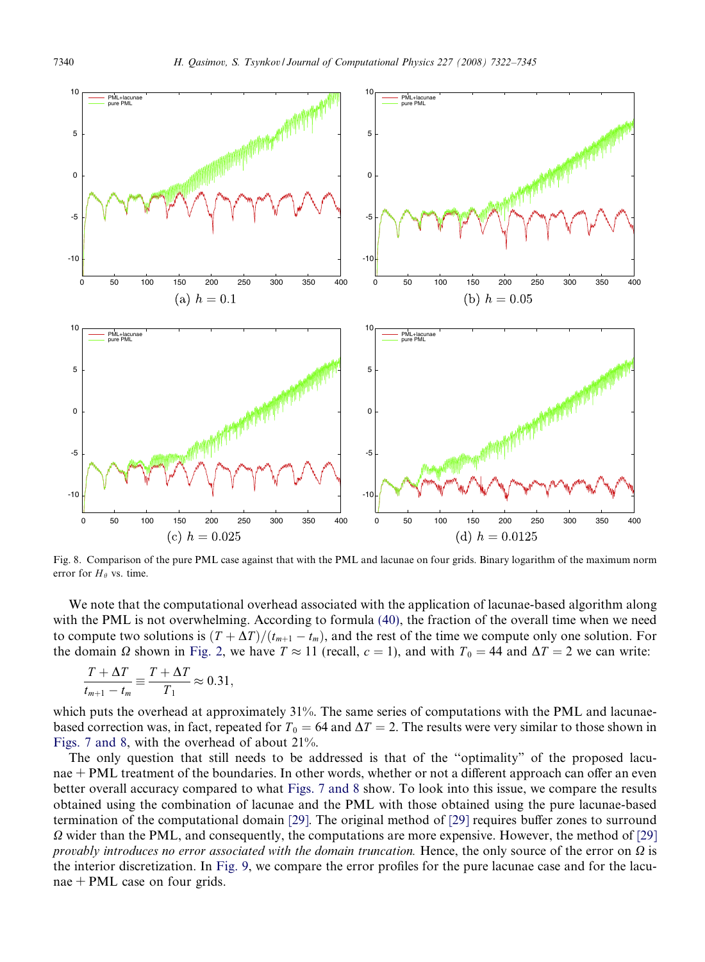<span id="page-18-0"></span>

Fig. 8. Comparison of the pure PML case against that with the PML and lacunae on four grids. Binary logarithm of the maximum norm error for  $H_{\theta}$  vs. time.

We note that the computational overhead associated with the application of lacunae-based algorithm along with the PML is not overwhelming. According to formula [\(40\),](#page-14-0) the fraction of the overall time when we need to compute two solutions is  $(T + \Delta T)/(t_{m+1} - t_m)$ , and the rest of the time we compute only one solution. For the domain  $\Omega$  shown in [Fig. 2,](#page-8-0) we have  $T \approx 11$  (recall,  $c = 1$ ), and with  $T_0 = 44$  and  $\Delta T = 2$  we can write:

$$
\frac{T + \Delta T}{t_{m+1} - t_m} \equiv \frac{T + \Delta T}{T_1} \approx 0.31,
$$

which puts the overhead at approximately 31%. The same series of computations with the PML and lacunaebased correction was, in fact, repeated for  $T_0 = 64$  and  $\Delta T = 2$ . The results were very similar to those shown in [Figs. 7 and 8](#page-17-0), with the overhead of about 21%.

The only question that still needs to be addressed is that of the ''optimality" of the proposed lacunae + PML treatment of the boundaries. In other words, whether or not a different approach can offer an even better overall accuracy compared to what [Figs. 7 and 8](#page-17-0) show. To look into this issue, we compare the results obtained using the combination of lacunae and the PML with those obtained using the pure lacunae-based termination of the computational domain [\[29\]](#page-23-0). The original method of [\[29\]](#page-23-0) requires buffer zones to surround  $\Omega$  wider than the PML, and consequently, the computations are more expensive. However, the method of [\[29\]](#page-23-0) provably introduces no error associated with the domain truncation. Hence, the only source of the error on  $\Omega$  is the interior discretization. In [Fig. 9,](#page-19-0) we compare the error profiles for the pure lacunae case and for the lacunae + PML case on four grids.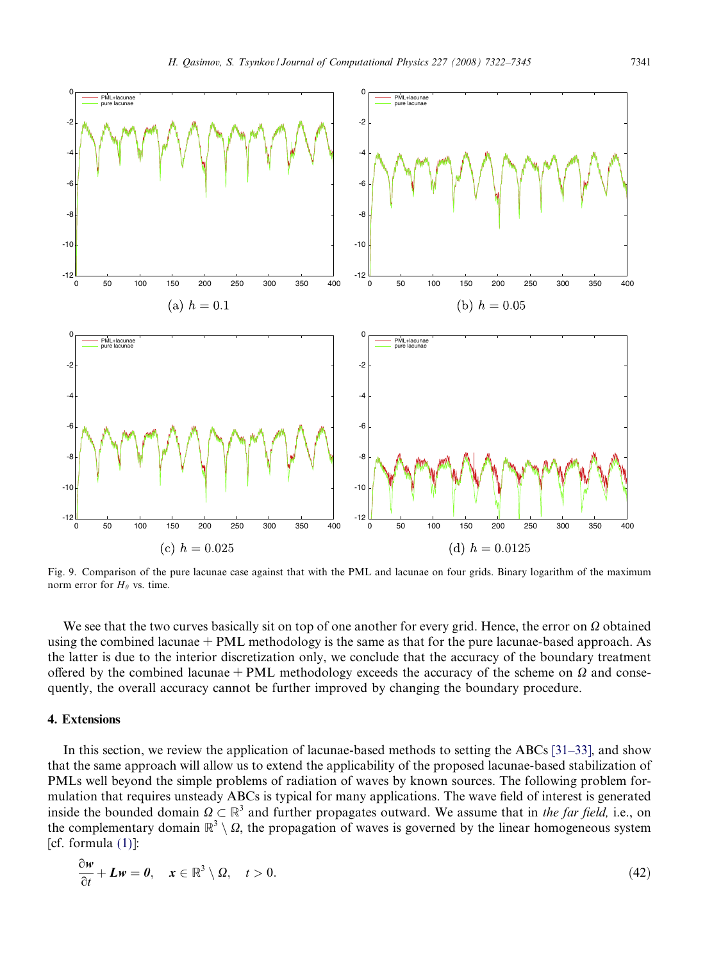<span id="page-19-0"></span>

Fig. 9. Comparison of the pure lacunae case against that with the PML and lacunae on four grids. Binary logarithm of the maximum norm error for  $H_{\theta}$  vs. time.

We see that the two curves basically sit on top of one another for every grid. Hence, the error on  $\Omega$  obtained using the combined lacunae + PML methodology is the same as that for the pure lacunae-based approach. As the latter is due to the interior discretization only, we conclude that the accuracy of the boundary treatment offered by the combined lacunae + PML methodology exceeds the accuracy of the scheme on  $\Omega$  and consequently, the overall accuracy cannot be further improved by changing the boundary procedure.

# 4. Extensions

In this section, we review the application of lacunae-based methods to setting the ABCs [\[31–33\],](#page-23-0) and show that the same approach will allow us to extend the applicability of the proposed lacunae-based stabilization of PMLs well beyond the simple problems of radiation of waves by known sources. The following problem formulation that requires unsteady ABCs is typical for many applications. The wave field of interest is generated inside the bounded domain  $\Omega \subset \mathbb{R}^3$  and further propagates outward. We assume that in the far field, i.e., on the complementary domain  $\mathbb{R}^3 \setminus \Omega$ , the propagation of waves is governed by the linear homogeneous system [cf. formula  $(1)$ ]:

$$
\frac{\partial w}{\partial t} + Lw = 0, \quad x \in \mathbb{R}^3 \setminus \Omega, \quad t > 0.
$$
\n
$$
(42)
$$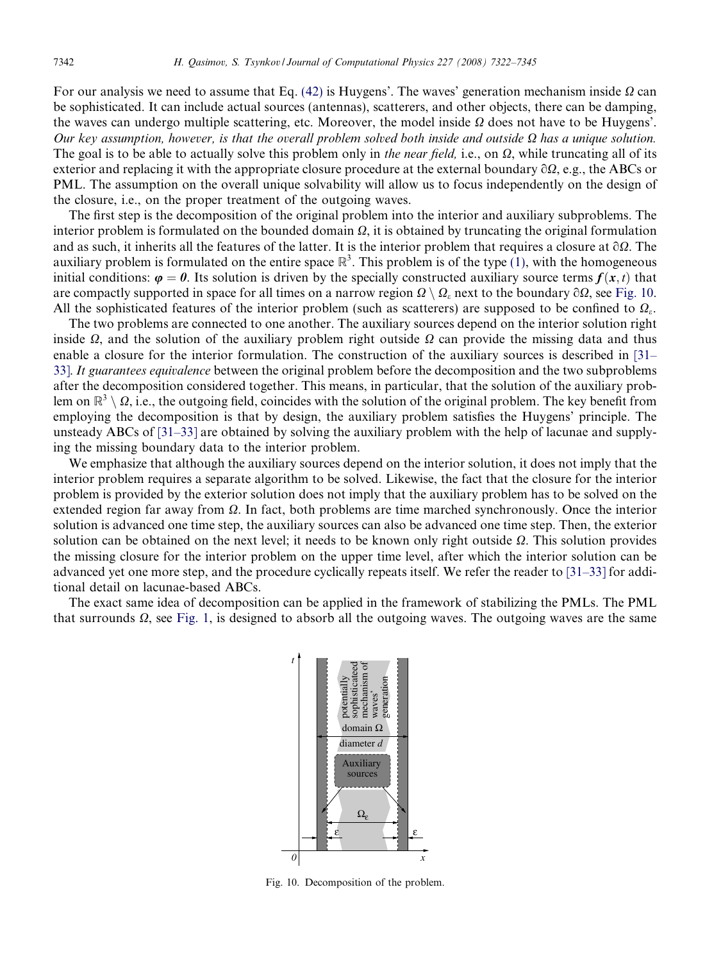<span id="page-20-0"></span>For our analysis we need to assume that Eq. [\(42\)](#page-19-0) is Huygens'. The waves' generation mechanism inside  $\Omega$  can be sophisticated. It can include actual sources (antennas), scatterers, and other objects, there can be damping, the waves can undergo multiple scattering, etc. Moreover, the model inside  $\Omega$  does not have to be Huygens'. Our key assumption, however, is that the overall problem solved both inside and outside  $\Omega$  has a unique solution. The goal is to be able to actually solve this problem only in the near field, i.e., on  $\Omega$ , while truncating all of its exterior and replacing it with the appropriate closure procedure at the external boundary  $\partial\Omega$ , e.g., the ABCs or PML. The assumption on the overall unique solvability will allow us to focus independently on the design of the closure, i.e., on the proper treatment of the outgoing waves.

The first step is the decomposition of the original problem into the interior and auxiliary subproblems. The interior problem is formulated on the bounded domain  $\Omega$ , it is obtained by truncating the original formulation and as such, it inherits all the features of the latter. It is the interior problem that requires a closure at  $\partial\Omega$ . The auxiliary problem is formulated on the entire space  $\mathbb{R}^3$ . This problem is of the type [\(1\),](#page-2-0) with the homogeneous initial conditions:  $\varphi = 0$ . Its solution is driven by the specially constructed auxiliary source terms  $f(x, t)$  that are compactly supported in space for all times on a narrow region  $\Omega \setminus \Omega_{\epsilon}$  next to the boundary  $\partial \Omega$ , see Fig. 10. All the sophisticated features of the interior problem (such as scatterers) are supposed to be confined to  $\Omega_{\epsilon}$ .

The two problems are connected to one another. The auxiliary sources depend on the interior solution right inside  $\Omega$ , and the solution of the auxiliary problem right outside  $\Omega$  can provide the missing data and thus enable a closure for the interior formulation. The construction of the auxiliary sources is described in [\[31–](#page-23-0) [33\].](#page-23-0) It guarantees equivalence between the original problem before the decomposition and the two subproblems after the decomposition considered together. This means, in particular, that the solution of the auxiliary problem on  $\mathbb{R}^3 \setminus \Omega$ , i.e., the outgoing field, coincides with the solution of the original problem. The key benefit from employing the decomposition is that by design, the auxiliary problem satisfies the Huygens' principle. The unsteady ABCs of [\[31–33\]](#page-23-0) are obtained by solving the auxiliary problem with the help of lacunae and supplying the missing boundary data to the interior problem.

We emphasize that although the auxiliary sources depend on the interior solution, it does not imply that the interior problem requires a separate algorithm to be solved. Likewise, the fact that the closure for the interior problem is provided by the exterior solution does not imply that the auxiliary problem has to be solved on the extended region far away from  $\Omega$ . In fact, both problems are time marched synchronously. Once the interior solution is advanced one time step, the auxiliary sources can also be advanced one time step. Then, the exterior solution can be obtained on the next level; it needs to be known only right outside  $\Omega$ . This solution provides the missing closure for the interior problem on the upper time level, after which the interior solution can be advanced yet one more step, and the procedure cyclically repeats itself. We refer the reader to [\[31–33\]](#page-23-0) for additional detail on lacunae-based ABCs.

The exact same idea of decomposition can be applied in the framework of stabilizing the PMLs. The PML that surrounds  $\Omega$ , see [Fig. 1,](#page-3-0) is designed to absorb all the outgoing waves. The outgoing waves are the same



Fig. 10. Decomposition of the problem.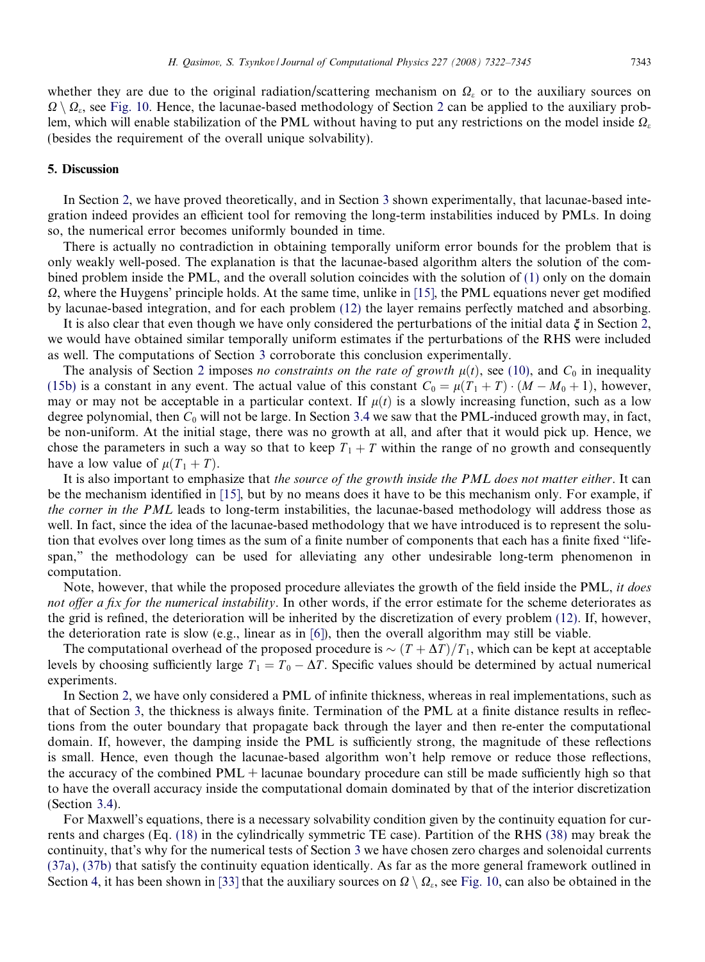<span id="page-21-0"></span>whether they are due to the original radiation/scattering mechanism on  $\Omega$ , or to the auxiliary sources on  $\Omega \setminus \Omega_{\varepsilon}$ , see [Fig. 10.](#page-20-0) Hence, the lacunae-based methodology of Section [2](#page-2-0) can be applied to the auxiliary problem, which will enable stabilization of the PML without having to put any restrictions on the model inside  $\Omega<sub>s</sub>$ (besides the requirement of the overall unique solvability).

# 5. Discussion

In Section [2,](#page-2-0) we have proved theoretically, and in Section [3](#page-6-0) shown experimentally, that lacunae-based integration indeed provides an efficient tool for removing the long-term instabilities induced by PMLs. In doing so, the numerical error becomes uniformly bounded in time.

There is actually no contradiction in obtaining temporally uniform error bounds for the problem that is only weakly well-posed. The explanation is that the lacunae-based algorithm alters the solution of the combined problem inside the PML, and the overall solution coincides with the solution of [\(1\)](#page-2-0) only on the domain  $\Omega$ , where the Huygens' principle holds. At the same time, unlike in [\[15\]](#page-22-0), the PML equations never get modified by lacunae-based integration, and for each problem [\(12\)](#page-5-0) the layer remains perfectly matched and absorbing.

It is also clear that even though we have only considered the perturbations of the initial data  $\xi$  in Section [2](#page-2-0), we would have obtained similar temporally uniform estimates if the perturbations of the RHS were included as well. The computations of Section [3](#page-6-0) corroborate this conclusion experimentally.

The analysis of Section [2](#page-2-0) imposes no constraints on the rate of growth  $\mu(t)$ , see (10), and  $C_0$  in inequality [\(15b\)](#page-6-0) is a constant in any event. The actual value of this constant  $C_0 = \mu(T_1 + T) \cdot (M - M_0 + 1)$ , however, may or may not be acceptable in a particular context. If  $\mu(t)$  is a slowly increasing function, such as a low degree polynomial, then  $C_0$  will not be large. In Section [3.4](#page-14-0) we saw that the PML-induced growth may, in fact, be non-uniform. At the initial stage, there was no growth at all, and after that it would pick up. Hence, we chose the parameters in such a way so that to keep  $T_1 + T$  within the range of no growth and consequently have a low value of  $\mu(T_1 + T)$ .

It is also important to emphasize that the source of the growth inside the PML does not matter either. It can be the mechanism identified in [\[15\]](#page-22-0), but by no means does it have to be this mechanism only. For example, if the corner in the PML leads to long-term instabilities, the lacunae-based methodology will address those as well. In fact, since the idea of the lacunae-based methodology that we have introduced is to represent the solution that evolves over long times as the sum of a finite number of components that each has a finite fixed ''lifespan," the methodology can be used for alleviating any other undesirable long-term phenomenon in computation.

Note, however, that while the proposed procedure alleviates the growth of the field inside the PML, it does not offer a fix for the numerical instability. In other words, if the error estimate for the scheme deteriorates as the grid is refined, the deterioration will be inherited by the discretization of every problem [\(12\)](#page-5-0). If, however, the deterioration rate is slow (e.g., linear as in [\[6\]](#page-22-0)), then the overall algorithm may still be viable.

The computational overhead of the proposed procedure is  $\sim (T + \Delta T)/T_1$ , which can be kept at acceptable levels by choosing sufficiently large  $T_1 = T_0 - \Delta T$ . Specific values should be determined by actual numerical experiments.

In Section [2](#page-2-0), we have only considered a PML of infinite thickness, whereas in real implementations, such as that of Section [3,](#page-6-0) the thickness is always finite. Termination of the PML at a finite distance results in reflections from the outer boundary that propagate back through the layer and then re-enter the computational domain. If, however, the damping inside the PML is sufficiently strong, the magnitude of these reflections is small. Hence, even though the lacunae-based algorithm won't help remove or reduce those reflections, the accuracy of the combined PML + lacunae boundary procedure can still be made sufficiently high so that to have the overall accuracy inside the computational domain dominated by that of the interior discretization (Section [3.4](#page-14-0)).

For Maxwell's equations, there is a necessary solvability condition given by the continuity equation for currents and charges (Eq. [\(18\)](#page-7-0) in the cylindrically symmetric TE case). Partition of the RHS [\(38\)](#page-13-0) may break the continuity, that's why for the numerical tests of Section [3](#page-6-0) we have chosen zero charges and solenoidal currents [\(37a\), \(37b\)](#page-13-0) that satisfy the continuity equation identically. As far as the more general framework outlined in Section [4,](#page-19-0) it has been shown in [\[33\]](#page-23-0) that the auxiliary sources on  $\Omega \setminus \Omega_{\varepsilon}$ , see [Fig. 10](#page-20-0), can also be obtained in the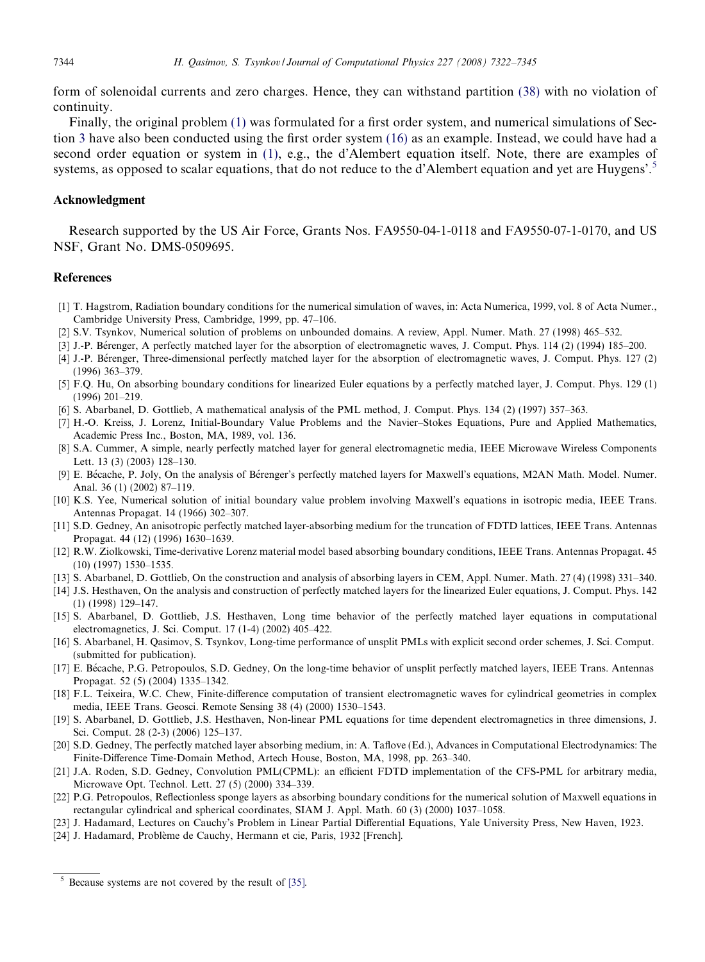form of solenoidal currents and zero charges. Hence, they can withstand partition [\(38\)](#page-13-0) with no violation of continuity.

Finally, the original problem [\(1\)](#page-2-0) was formulated for a first order system, and numerical simulations of Section [3](#page-6-0) have also been conducted using the first order system [\(16\)](#page-7-0) as an example. Instead, we could have had a second order equation or system in [\(1\),](#page-2-0) e.g., the d'Alembert equation itself. Note, there are examples of systems, as opposed to scalar equations, that do not reduce to the d'Alembert equation and yet are Huygens'.<sup>5</sup>

## Acknowledgment

Research supported by the US Air Force, Grants Nos. FA9550-04-1-0118 and FA9550-07-1-0170, and US NSF, Grant No. DMS-0509695.

# **References**

- [1] T. Hagstrom, Radiation boundary conditions for the numerical simulation of waves, in: Acta Numerica, 1999, vol. 8 of Acta Numer., Cambridge University Press, Cambridge, 1999, pp. 47–106.
- [2] S.V. Tsynkov, Numerical solution of problems on unbounded domains. A review, Appl. Numer. Math. 27 (1998) 465–532.
- [3] J.-P. Bérenger, A perfectly matched layer for the absorption of electromagnetic waves, J. Comput. Phys. 114 (2) (1994) 185–200.
- [4] J.-P. Be´renger, Three-dimensional perfectly matched layer for the absorption of electromagnetic waves, J. Comput. Phys. 127 (2) (1996) 363–379.
- [5] F.Q. Hu, On absorbing boundary conditions for linearized Euler equations by a perfectly matched layer, J. Comput. Phys. 129 (1) (1996) 201–219.
- [6] S. Abarbanel, D. Gottlieb, A mathematical analysis of the PML method, J. Comput. Phys. 134 (2) (1997) 357–363.
- [7] H.-O. Kreiss, J. Lorenz, Initial-Boundary Value Problems and the Navier–Stokes Equations, Pure and Applied Mathematics, Academic Press Inc., Boston, MA, 1989, vol. 136.
- [8] S.A. Cummer, A simple, nearly perfectly matched layer for general electromagnetic media, IEEE Microwave Wireless Components Lett. 13 (3) (2003) 128–130.
- [9] E. Bécache, P. Joly, On the analysis of Bérenger's perfectly matched layers for Maxwell's equations, M2AN Math. Model. Numer. Anal. 36 (1) (2002) 87–119.
- [10] K.S. Yee, Numerical solution of initial boundary value problem involving Maxwell's equations in isotropic media, IEEE Trans. Antennas Propagat. 14 (1966) 302–307.
- [11] S.D. Gedney, An anisotropic perfectly matched layer-absorbing medium for the truncation of FDTD lattices, IEEE Trans. Antennas Propagat. 44 (12) (1996) 1630–1639.
- [12] R.W. Ziolkowski, Time-derivative Lorenz material model based absorbing boundary conditions, IEEE Trans. Antennas Propagat. 45 (10) (1997) 1530–1535.
- [13] S. Abarbanel, D. Gottlieb, On the construction and analysis of absorbing layers in CEM, Appl. Numer. Math. 27 (4) (1998) 331–340.
- [14] J.S. Hesthaven, On the analysis and construction of perfectly matched layers for the linearized Euler equations, J. Comput. Phys. 142 (1) (1998) 129–147.
- [15] S. Abarbanel, D. Gottlieb, J.S. Hesthaven, Long time behavior of the perfectly matched layer equations in computational electromagnetics, J. Sci. Comput. 17 (1-4) (2002) 405–422.
- [16] S. Abarbanel, H. Qasimov, S. Tsynkov, Long-time performance of unsplit PMLs with explicit second order schemes, J. Sci. Comput. (submitted for publication).
- [17] E. Be´cache, P.G. Petropoulos, S.D. Gedney, On the long-time behavior of unsplit perfectly matched layers, IEEE Trans. Antennas Propagat. 52 (5) (2004) 1335–1342.
- [18] F.L. Teixeira, W.C. Chew, Finite-difference computation of transient electromagnetic waves for cylindrical geometries in complex media, IEEE Trans. Geosci. Remote Sensing 38 (4) (2000) 1530–1543.
- [19] S. Abarbanel, D. Gottlieb, J.S. Hesthaven, Non-linear PML equations for time dependent electromagnetics in three dimensions, J. Sci. Comput. 28 (2-3) (2006) 125–137.
- [20] S.D. Gedney, The perfectly matched layer absorbing medium, in: A. Taflove (Ed.), Advances in Computational Electrodynamics: The Finite-Difference Time-Domain Method, Artech House, Boston, MA, 1998, pp. 263–340.
- [21] J.A. Roden, S.D. Gedney, Convolution PML(CPML): an efficient FDTD implementation of the CFS-PML for arbitrary media, Microwave Opt. Technol. Lett. 27 (5) (2000) 334–339.
- [22] P.G. Petropoulos, Reflectionless sponge layers as absorbing boundary conditions for the numerical solution of Maxwell equations in rectangular cylindrical and spherical coordinates, SIAM J. Appl. Math. 60 (3) (2000) 1037–1058.
- [23] J. Hadamard, Lectures on Cauchy's Problem in Linear Partial Differential Equations, Yale University Press, New Haven, 1923.
- [24] J. Hadamard, Problème de Cauchy, Hermann et cie, Paris, 1932 [French].

<span id="page-22-0"></span>

Because systems are not covered by the result of [\[35\]](#page-23-0).